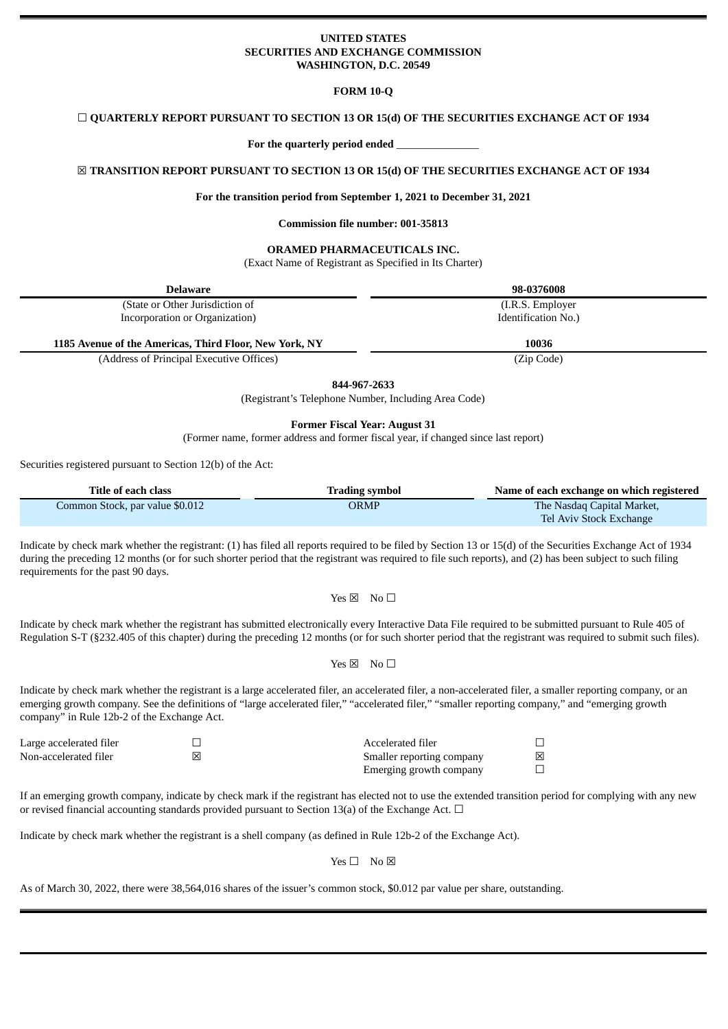## **UNITED STATES SECURITIES AND EXCHANGE COMMISSION WASHINGTON, D.C. 20549**

# **FORM 10-Q**

# ☐ **QUARTERLY REPORT PURSUANT TO SECTION 13 OR 15(d) OF THE SECURITIES EXCHANGE ACT OF 1934**

**For the quarterly period ended** \_\_\_\_\_\_\_\_\_\_\_\_\_\_\_

# ☒ **TRANSITION REPORT PURSUANT TO SECTION 13 OR 15(d) OF THE SECURITIES EXCHANGE ACT OF 1934**

### **For the transition period from September 1, 2021 to December 31, 2021**

**Commission file number: 001-35813**

### **ORAMED PHARMACEUTICALS INC.**

(Exact Name of Registrant as Specified in Its Charter)

| <b>Delaware</b>                                        | 98-0376008          |
|--------------------------------------------------------|---------------------|
| (State or Other Jurisdiction of                        | (I.R.S. Employer)   |
| Incorporation or Organization)                         | Identification No.) |
| 1185 Avenue of the Americas, Third Floor, New York, NY | 10036               |
| (Address of Principal Executive Offices)               | (Zip Code)          |

**844-967-2633**

(Registrant's Telephone Number, Including Area Code)

#### **Former Fiscal Year: August 31**

(Former name, former address and former fiscal year, if changed since last report)

Securities registered pursuant to Section 12(b) of the Act:

| Title of each class             | <b>Trading symbol</b> | Name of each exchange on which registered |
|---------------------------------|-----------------------|-------------------------------------------|
| Common Stock, par value \$0.012 | ORMP                  | The Nasdaq Capital Market,                |
|                                 |                       | <b>Tel Aviv Stock Exchange</b>            |

Indicate by check mark whether the registrant: (1) has filed all reports required to be filed by Section 13 or 15(d) of the Securities Exchange Act of 1934 during the preceding 12 months (or for such shorter period that the registrant was required to file such reports), and (2) has been subject to such filing requirements for the past 90 days.

Yes  $\boxtimes$  No  $\square$ 

Indicate by check mark whether the registrant has submitted electronically every Interactive Data File required to be submitted pursuant to Rule 405 of Regulation S-T (§232.405 of this chapter) during the preceding 12 months (or for such shorter period that the registrant was required to submit such files).

# Yes  $\boxtimes$  No  $\square$

Indicate by check mark whether the registrant is a large accelerated filer, an accelerated filer, a non-accelerated filer, a smaller reporting company, or an emerging growth company. See the definitions of "large accelerated filer," "accelerated filer," "smaller reporting company," and "emerging growth company" in Rule 12b-2 of the Exchange Act.

| Large accelerated filer | Accelerated filer         |   |
|-------------------------|---------------------------|---|
| Non-accelerated filer   | Smaller reporting company | 冈 |
|                         | Emerging growth company   |   |

If an emerging growth company, indicate by check mark if the registrant has elected not to use the extended transition period for complying with any new or revised financial accounting standards provided pursuant to Section 13(a) of the Exchange Act.  $\Box$ 

Indicate by check mark whether the registrant is a shell company (as defined in Rule 12b-2 of the Exchange Act).

 $Yes \Box No \boxtimes$ 

As of March 30, 2022, there were 38,564,016 shares of the issuer's common stock, \$0.012 par value per share, outstanding.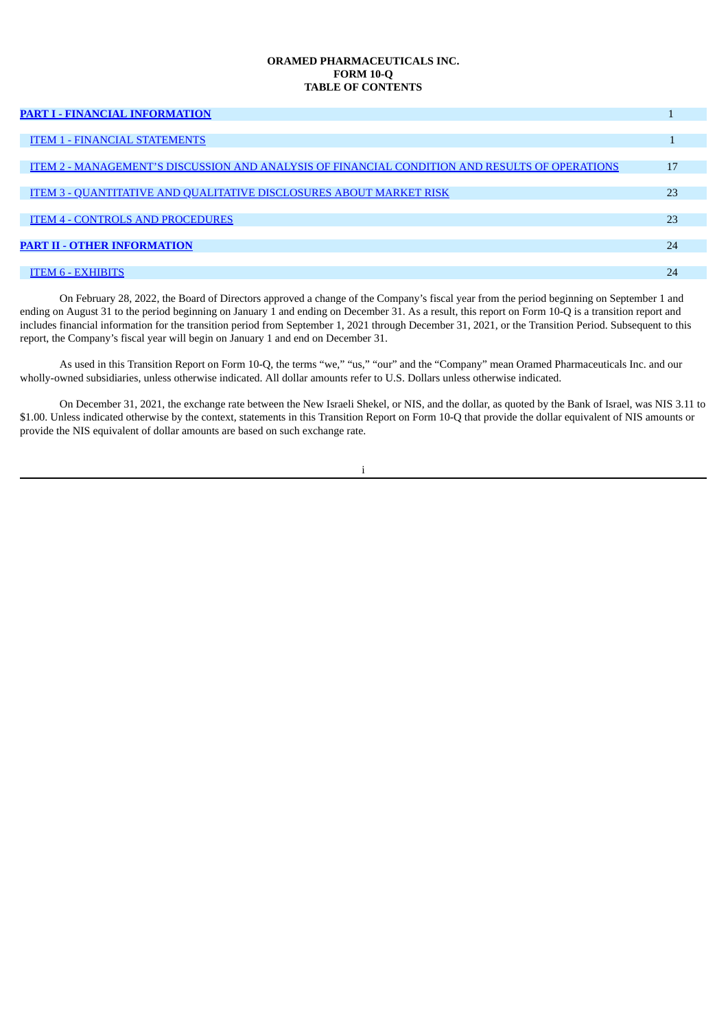#### **ORAMED PHARMACEUTICALS INC. FORM 10-Q TABLE OF CONTENTS**

# **PART I - FINANCIAL [INFORMATION](#page-3-0)**

| <b>ITEM 1 - FINANCIAL STATEMENTS</b>                                                                  |    |
|-------------------------------------------------------------------------------------------------------|----|
|                                                                                                       |    |
| <u>ITEM 2 - MANAGEMENT'S DISCUSSION AND ANALYSIS OF FINANCIAL CONDITION AND RESULTS OF OPERATIONS</u> |    |
|                                                                                                       |    |
| <b>ITEM 3 - QUANTITATIVE AND QUALITATIVE DISCLOSURES ABOUT MARKET RISK</b>                            | 23 |
|                                                                                                       |    |
| <b>ITEM 4 - CONTROLS AND PROCEDURES</b>                                                               | 23 |
|                                                                                                       |    |
| <b>PART II - OTHER INFORMATION</b>                                                                    | 24 |
|                                                                                                       |    |
| <b>ITEM 6 - EXHIBITS</b>                                                                              |    |

On February 28, 2022, the Board of Directors approved a change of the Company's fiscal year from the period beginning on September 1 and ending on August 31 to the period beginning on January 1 and ending on December 31. As a result, this report on Form 10-Q is a transition report and includes financial information for the transition period from September 1, 2021 through December 31, 2021, or the Transition Period. Subsequent to this report, the Company's fiscal year will begin on January 1 and end on December 31.

As used in this Transition Report on Form 10-Q, the terms "we," "us," "our" and the "Company" mean Oramed Pharmaceuticals Inc. and our wholly-owned subsidiaries, unless otherwise indicated. All dollar amounts refer to U.S. Dollars unless otherwise indicated.

On December 31, 2021, the exchange rate between the New Israeli Shekel, or NIS, and the dollar, as quoted by the Bank of Israel, was NIS 3.11 to \$1.00. Unless indicated otherwise by the context, statements in this Transition Report on Form 10-Q that provide the dollar equivalent of NIS amounts or provide the NIS equivalent of dollar amounts are based on such exchange rate.

i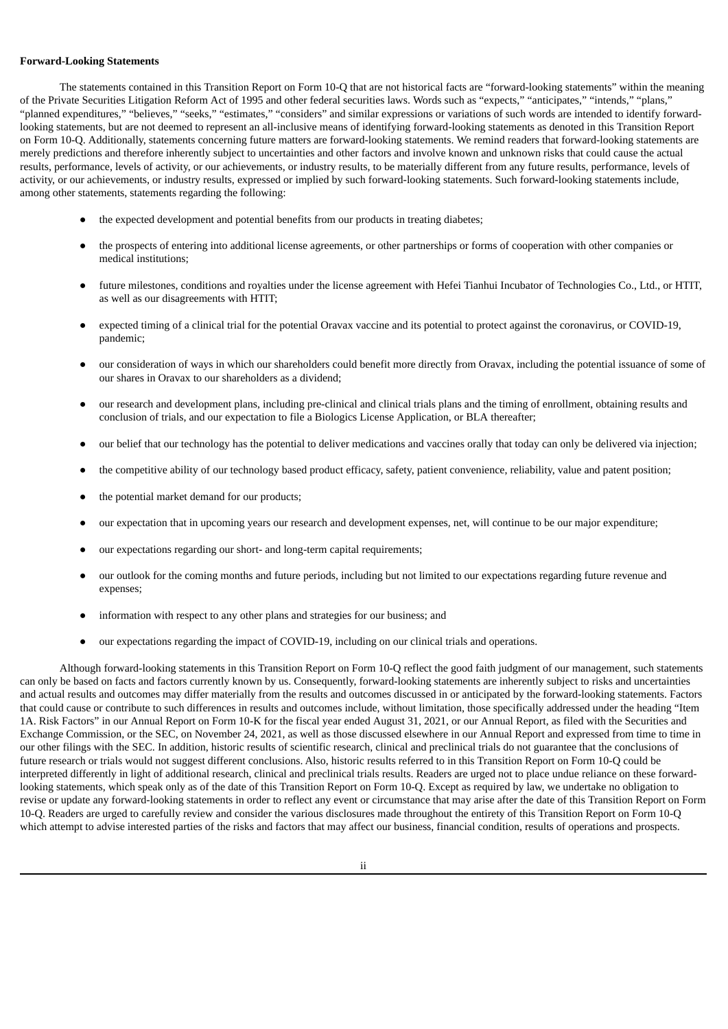### **Forward-Looking Statements**

The statements contained in this Transition Report on Form 10-Q that are not historical facts are "forward-looking statements" within the meaning of the Private Securities Litigation Reform Act of 1995 and other federal securities laws. Words such as "expects," "anticipates," "intends," "plans," "planned expenditures," "believes," "seeks," "estimates," "considers" and similar expressions or variations of such words are intended to identify forwardlooking statements, but are not deemed to represent an all-inclusive means of identifying forward-looking statements as denoted in this Transition Report on Form 10-Q. Additionally, statements concerning future matters are forward-looking statements. We remind readers that forward-looking statements are merely predictions and therefore inherently subject to uncertainties and other factors and involve known and unknown risks that could cause the actual results, performance, levels of activity, or our achievements, or industry results, to be materially different from any future results, performance, levels of activity, or our achievements, or industry results, expressed or implied by such forward-looking statements. Such forward-looking statements include, among other statements, statements regarding the following:

- the expected development and potential benefits from our products in treating diabetes;
- the prospects of entering into additional license agreements, or other partnerships or forms of cooperation with other companies or medical institutions;
- future milestones, conditions and royalties under the license agreement with Hefei Tianhui Incubator of Technologies Co., Ltd., or HTIT, as well as our disagreements with HTIT;
- expected timing of a clinical trial for the potential Oravax vaccine and its potential to protect against the coronavirus, or COVID-19, pandemic;
- our consideration of ways in which our shareholders could benefit more directly from Oravax, including the potential issuance of some of our shares in Oravax to our shareholders as a dividend;
- our research and development plans, including pre-clinical and clinical trials plans and the timing of enrollment, obtaining results and conclusion of trials, and our expectation to file a Biologics License Application, or BLA thereafter;
- our belief that our technology has the potential to deliver medications and vaccines orally that today can only be delivered via injection;
- the competitive ability of our technology based product efficacy, safety, patient convenience, reliability, value and patent position;
- the potential market demand for our products;
- our expectation that in upcoming years our research and development expenses, net, will continue to be our major expenditure;
- our expectations regarding our short- and long-term capital requirements;
- our outlook for the coming months and future periods, including but not limited to our expectations regarding future revenue and expenses;
- information with respect to any other plans and strategies for our business; and
- our expectations regarding the impact of COVID-19, including on our clinical trials and operations.

Although forward-looking statements in this Transition Report on Form 10-Q reflect the good faith judgment of our management, such statements can only be based on facts and factors currently known by us. Consequently, forward-looking statements are inherently subject to risks and uncertainties and actual results and outcomes may differ materially from the results and outcomes discussed in or anticipated by the forward-looking statements. Factors that could cause or contribute to such differences in results and outcomes include, without limitation, those specifically addressed under the heading "Item 1A. Risk Factors" in our Annual Report on Form 10-K for the fiscal year ended August 31, 2021, or our Annual Report, as filed with the Securities and Exchange Commission, or the SEC, on November 24, 2021, as well as those discussed elsewhere in our Annual Report and expressed from time to time in our other filings with the SEC. In addition, historic results of scientific research, clinical and preclinical trials do not guarantee that the conclusions of future research or trials would not suggest different conclusions. Also, historic results referred to in this Transition Report on Form 10-Q could be interpreted differently in light of additional research, clinical and preclinical trials results. Readers are urged not to place undue reliance on these forwardlooking statements, which speak only as of the date of this Transition Report on Form 10-Q. Except as required by law, we undertake no obligation to revise or update any forward-looking statements in order to reflect any event or circumstance that may arise after the date of this Transition Report on Form 10-Q. Readers are urged to carefully review and consider the various disclosures made throughout the entirety of this Transition Report on Form 10-Q which attempt to advise interested parties of the risks and factors that may affect our business, financial condition, results of operations and prospects.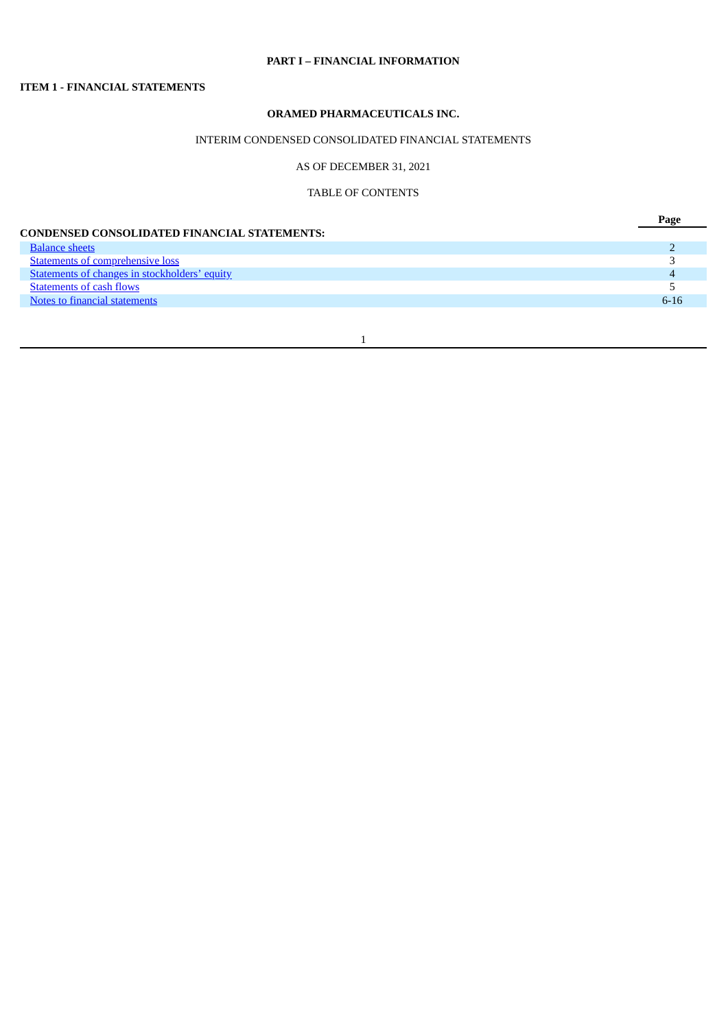# **PART I – FINANCIAL INFORMATION**

# <span id="page-3-1"></span><span id="page-3-0"></span>**ITEM 1 - FINANCIAL STATEMENTS**

# **ORAMED PHARMACEUTICALS INC.**

# INTERIM CONDENSED CONSOLIDATED FINANCIAL STATEMENTS

# AS OF DECEMBER 31, 2021

# TABLE OF CONTENTS

|                                                     | Page   |
|-----------------------------------------------------|--------|
| <b>CONDENSED CONSOLIDATED FINANCIAL STATEMENTS:</b> |        |
| <b>Balance sheets</b>                               |        |
| <b>Statements of comprehensive loss</b>             |        |
| Statements of changes in stockholders' equity       |        |
| <b>Statements of cash flows</b>                     |        |
| Notes to financial statements                       | $6-16$ |
|                                                     |        |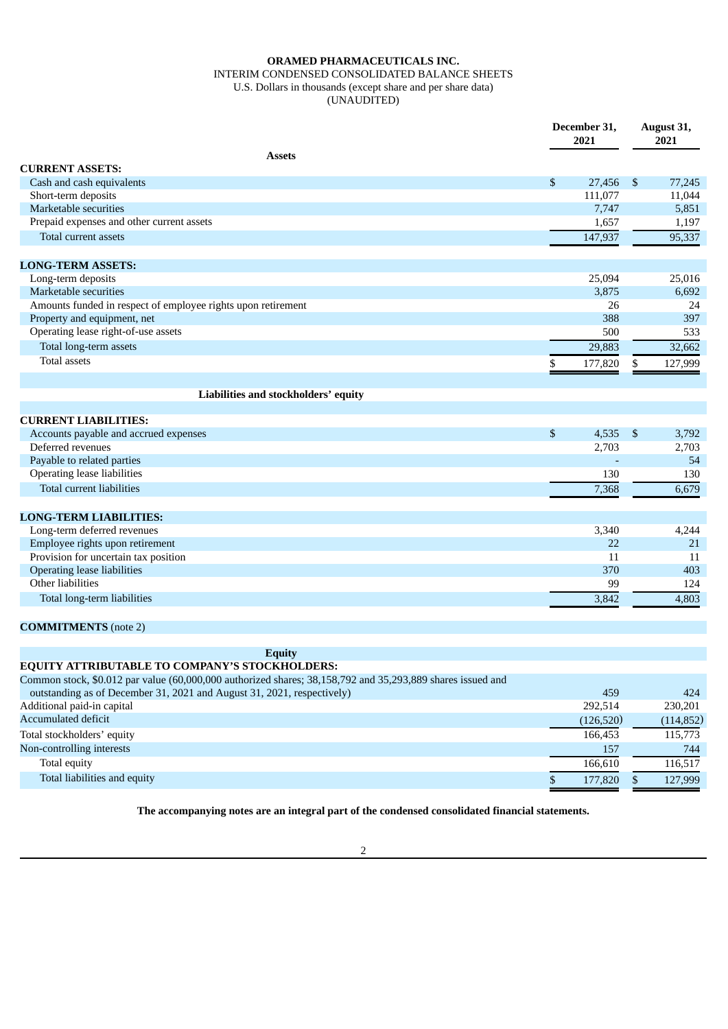# INTERIM CONDENSED CONSOLIDATED BALANCE SHEETS U.S. Dollars in thousands (except share and per share data)

(UNAUDITED)

<span id="page-4-0"></span>

|                                                                                                            | December 31,              |            |                | August 31, |
|------------------------------------------------------------------------------------------------------------|---------------------------|------------|----------------|------------|
|                                                                                                            |                           | 2021       |                | 2021       |
| <b>Assets</b>                                                                                              |                           |            |                |            |
| <b>CURRENT ASSETS:</b>                                                                                     |                           |            |                |            |
| Cash and cash equivalents                                                                                  | \$                        | 27,456     | \$             | 77,245     |
| Short-term deposits                                                                                        |                           | 111,077    |                | 11,044     |
| Marketable securities                                                                                      |                           | 7,747      |                | 5,851      |
| Prepaid expenses and other current assets                                                                  |                           | 1,657      |                | 1,197      |
| Total current assets                                                                                       |                           | 147,937    |                | 95,337     |
| <b>LONG-TERM ASSETS:</b>                                                                                   |                           |            |                |            |
| Long-term deposits                                                                                         |                           | 25,094     |                | 25,016     |
| Marketable securities                                                                                      |                           | 3,875      |                | 6,692      |
| Amounts funded in respect of employee rights upon retirement                                               |                           | 26         |                | 24         |
| Property and equipment, net                                                                                |                           | 388        |                | 397        |
| Operating lease right-of-use assets                                                                        |                           | 500        |                | 533        |
| Total long-term assets                                                                                     |                           | 29,883     |                | 32,662     |
| <b>Total assets</b>                                                                                        | \$                        | 177,820    | \$             | 127,999    |
|                                                                                                            |                           |            |                |            |
| Liabilities and stockholders' equity                                                                       |                           |            |                |            |
| <b>CURRENT LIABILITIES:</b>                                                                                |                           |            |                |            |
| Accounts payable and accrued expenses                                                                      | \$                        | 4,535      | \$             | 3,792      |
| Deferred revenues                                                                                          |                           | 2,703      |                | 2,703      |
| Payable to related parties                                                                                 |                           |            |                | 54         |
| Operating lease liabilities                                                                                |                           | 130        |                | 130        |
| Total current liabilities                                                                                  |                           | 7,368      |                | 6,679      |
| <b>LONG-TERM LIABILITIES:</b>                                                                              |                           |            |                |            |
|                                                                                                            |                           |            |                |            |
| Long-term deferred revenues                                                                                |                           | 3,340      |                | 4,244      |
| Employee rights upon retirement                                                                            |                           | 22<br>11   |                | 21         |
| Provision for uncertain tax position<br><b>Operating lease liabilities</b>                                 |                           | 370        |                | 11<br>403  |
| Other liabilities                                                                                          |                           |            |                |            |
|                                                                                                            |                           | 99         |                | 124        |
| Total long-term liabilities                                                                                |                           | 3,842      |                | 4,803      |
| <b>COMMITMENTS</b> (note 2)                                                                                |                           |            |                |            |
| <b>Equity</b>                                                                                              |                           |            |                |            |
| EQUITY ATTRIBUTABLE TO COMPANY'S STOCKHOLDERS:                                                             |                           |            |                |            |
| Common stock, \$0.012 par value (60,000,000 authorized shares; 38,158,792 and 35,293,889 shares issued and |                           |            |                |            |
| outstanding as of December 31, 2021 and August 31, 2021, respectively)                                     |                           | 459        |                | 424        |
| Additional paid-in capital<br><b>Accumulated deficit</b>                                                   |                           | 292,514    |                | 230,201    |
|                                                                                                            |                           | (126, 520) |                | (114, 852) |
| Total stockholders' equity                                                                                 |                           | 166,453    |                | 115,773    |
| Non-controlling interests                                                                                  |                           | 157        |                | 744        |
| Total equity                                                                                               |                           | 166,610    |                | 116,517    |
| Total liabilities and equity                                                                               | $\boldsymbol{\mathsf{S}}$ | 177,820    | $\mathfrak{F}$ | 127,999    |

**The accompanying notes are an integral part of the condensed consolidated financial statements.**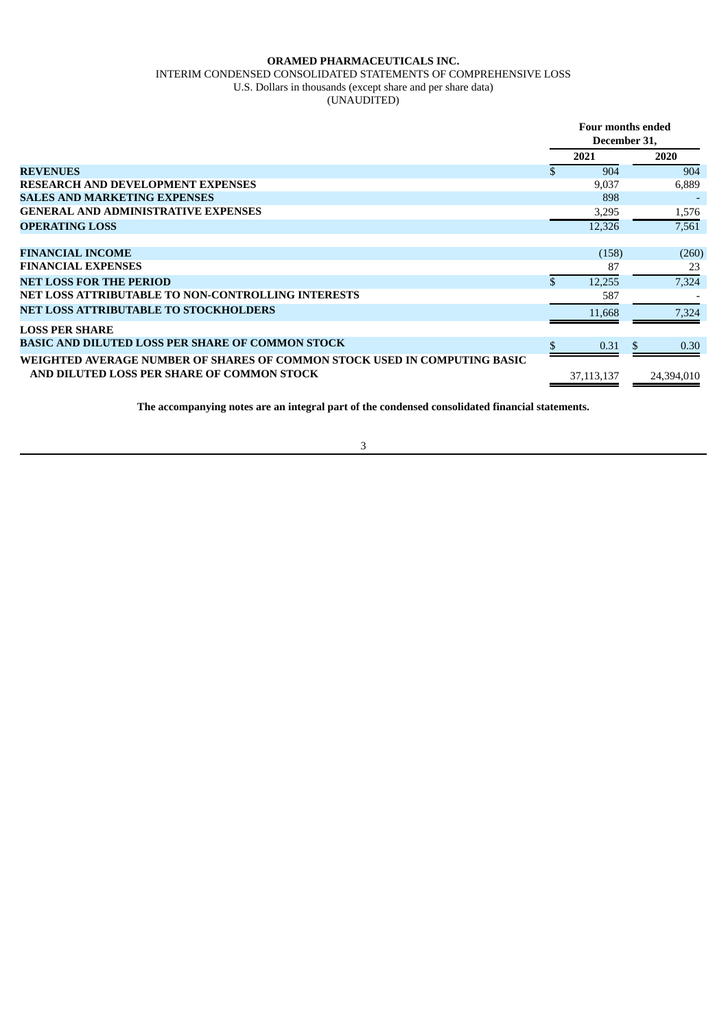# INTERIM CONDENSED CONSOLIDATED STATEMENTS OF COMPREHENSIVE LOSS

U.S. Dollars in thousands (except share and per share data)

(UNAUDITED)

<span id="page-5-0"></span>

|                                                                           |  | <b>Four months ended</b><br>December 31, |    |            |
|---------------------------------------------------------------------------|--|------------------------------------------|----|------------|
|                                                                           |  | 2021                                     |    | 2020       |
| <b>REVENUES</b>                                                           |  | 904                                      |    | 904        |
| <b>RESEARCH AND DEVELOPMENT EXPENSES</b>                                  |  | 9,037                                    |    | 6,889      |
| <b>SALES AND MARKETING EXPENSES</b>                                       |  | 898                                      |    |            |
| <b>GENERAL AND ADMINISTRATIVE EXPENSES</b>                                |  | 3,295                                    |    | 1,576      |
| <b>OPERATING LOSS</b>                                                     |  | 12,326                                   |    | 7,561      |
|                                                                           |  |                                          |    |            |
| <b>FINANCIAL INCOME</b>                                                   |  | (158)                                    |    | (260)      |
| <b>FINANCIAL EXPENSES</b>                                                 |  | 87                                       |    | 23         |
| <b>NET LOSS FOR THE PERIOD</b>                                            |  | 12,255                                   |    | 7,324      |
| NET LOSS ATTRIBUTABLE TO NON-CONTROLLING INTERESTS                        |  | 587                                      |    |            |
| <b>NET LOSS ATTRIBUTABLE TO STOCKHOLDERS</b>                              |  | 11,668                                   |    | 7,324      |
| <b>LOSS PER SHARE</b>                                                     |  |                                          |    |            |
| <b>BASIC AND DILUTED LOSS PER SHARE OF COMMON STOCK</b>                   |  | 0.31                                     | £. | 0.30       |
| WEIGHTED AVERAGE NUMBER OF SHARES OF COMMON STOCK USED IN COMPUTING BASIC |  |                                          |    |            |
| AND DILUTED LOSS PER SHARE OF COMMON STOCK                                |  | 37, 113, 137                             |    | 24,394,010 |

**The accompanying notes are an integral part of the condensed consolidated financial statements.**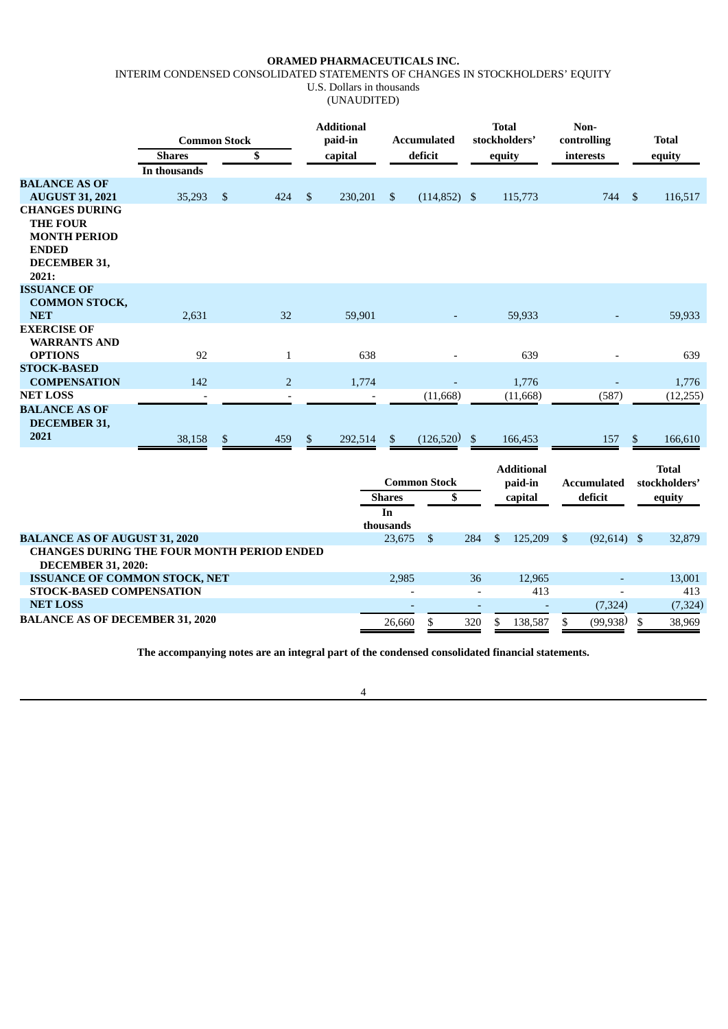INTERIM CONDENSED CONSOLIDATED STATEMENTS OF CHANGES IN STOCKHOLDERS' EQUITY U.S. Dollars in thousands

(UNAUDITED)

<span id="page-6-0"></span>

|                                                                                                          | <b>Common Stock</b><br><b>Shares</b><br>In thousands |                | $\overline{\$}$               |                | <b>Additional</b><br>paid-in<br>capital |                    | <b>Accumulated</b><br>deficit |      | <b>Total</b><br>stockholders'<br>equity | Non-<br>controlling<br>interests |                        | <b>Total</b><br>equity                  |
|----------------------------------------------------------------------------------------------------------|------------------------------------------------------|----------------|-------------------------------|----------------|-----------------------------------------|--------------------|-------------------------------|------|-----------------------------------------|----------------------------------|------------------------|-----------------------------------------|
| <b>BALANCE AS OF</b><br><b>AUGUST 31, 2021</b>                                                           | 35,293                                               | $\mathfrak{s}$ | 424                           | $\mathfrak{S}$ | 230,201                                 | $\mathbf{\hat{S}}$ | $(114, 852)$ \$               |      | 115,773                                 | 744                              | $\mathbf{\mathcal{S}}$ | 116,517                                 |
| <b>CHANGES DURING</b><br><b>THE FOUR</b><br><b>MONTH PERIOD</b><br><b>ENDED</b><br>DECEMBER 31,<br>2021: |                                                      |                |                               |                |                                         |                    |                               |      |                                         |                                  |                        |                                         |
| <b>ISSUANCE OF</b>                                                                                       |                                                      |                |                               |                |                                         |                    |                               |      |                                         |                                  |                        |                                         |
| <b>COMMON STOCK,</b><br><b>NET</b>                                                                       | 2,631                                                |                | 32                            |                | 59,901                                  |                    | $\sim$                        |      | 59,933                                  | $\overline{\phantom{a}}$         |                        | 59,933                                  |
| <b>EXERCISE OF</b><br><b>WARRANTS AND</b><br><b>OPTIONS</b>                                              | 92                                                   |                | $\mathbf{1}$                  |                | 638                                     |                    |                               |      | 639                                     |                                  |                        | 639                                     |
| <b>STOCK-BASED</b>                                                                                       |                                                      |                |                               |                |                                         |                    |                               |      |                                         |                                  |                        |                                         |
| <b>COMPENSATION</b><br><b>NET LOSS</b>                                                                   | 142<br>$\overline{\phantom{a}}$                      |                | 2<br>$\overline{\phantom{a}}$ |                | 1,774                                   |                    | (11, 668)                     |      | 1,776<br>(11,668)                       | (587)                            |                        | 1,776<br>(12, 255)                      |
| <b>BALANCE AS OF</b><br>DECEMBER 31,                                                                     |                                                      |                |                               |                |                                         |                    |                               |      |                                         |                                  |                        |                                         |
| 2021                                                                                                     | 38,158                                               | \$             | 459                           | $\mathcal{S}$  | 292,514                                 | $\mathfrak{S}$     | (126,520)                     | - \$ | 166,453                                 | 157                              | $\mathbf{\hat{S}}$     | 166,610                                 |
|                                                                                                          |                                                      |                |                               |                |                                         | <b>Shares</b>      | <b>Common Stock</b><br>\$     |      | <b>Additional</b><br>paid-in<br>capital | <b>Accumulated</b><br>deficit    |                        | <b>Total</b><br>stockholders'<br>equity |

|                                                   | In        |                          |     |         |    |               |          |
|---------------------------------------------------|-----------|--------------------------|-----|---------|----|---------------|----------|
|                                                   | thousands |                          |     |         |    |               |          |
| <b>BALANCE AS OF AUGUST 31, 2020</b>              | 23,675    | 284                      | \$. | 125,209 | -S | $(92,614)$ \$ | 32,879   |
| <b>CHANGES DURING THE FOUR MONTH PERIOD ENDED</b> |           |                          |     |         |    |               |          |
| <b>DECEMBER 31, 2020:</b>                         |           |                          |     |         |    |               |          |
| <b>ISSUANCE OF COMMON STOCK, NET</b>              | 2.985     | 36                       |     | 12,965  |    |               | 13,001   |
| <b>STOCK-BASED COMPENSATION</b>                   |           | $\overline{\phantom{0}}$ |     | 413     |    |               | 413      |
| <b>NET LOSS</b>                                   | -         | $\overline{\phantom{0}}$ |     |         |    | (7, 324)      | (7, 324) |
| <b>BALANCE AS OF DECEMBER 31, 2020</b>            | 26.660    | 320                      |     | 138.587 |    | (99, 938)     | 38,969   |

**The accompanying notes are an integral part of the condensed consolidated financial statements.**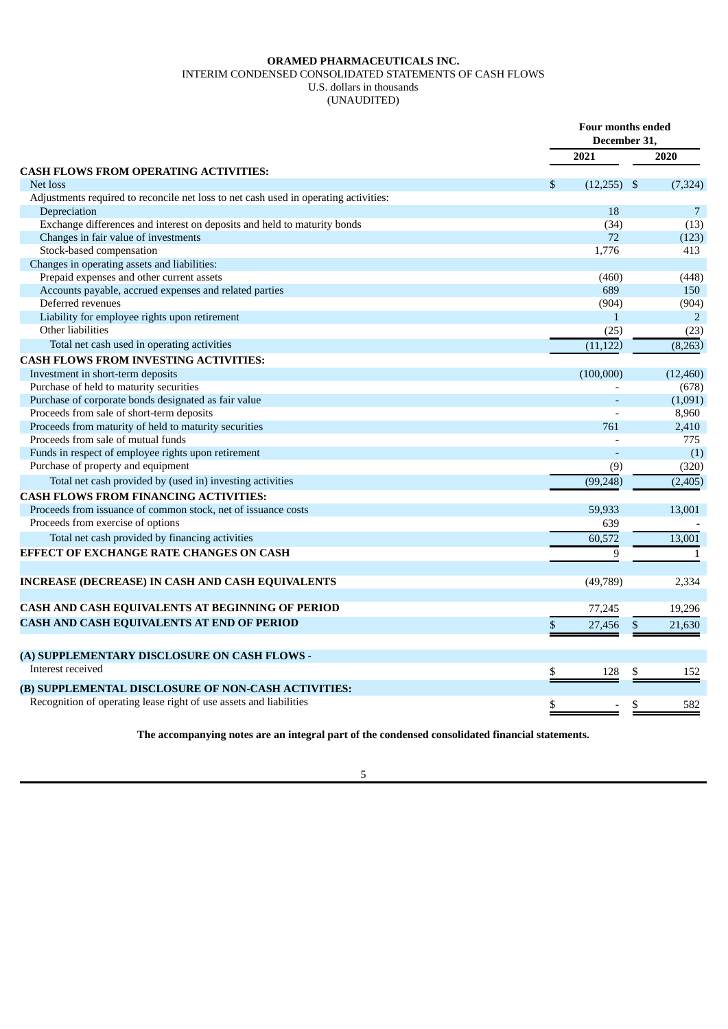# INTERIM CONDENSED CONSOLIDATED STATEMENTS OF CASH FLOWS

U.S. dollars in thousands (UNAUDITED)

<span id="page-7-0"></span>

|                                                                                      | <b>Four months ended</b><br>December 31, |               |    |                |
|--------------------------------------------------------------------------------------|------------------------------------------|---------------|----|----------------|
|                                                                                      |                                          | 2021          |    | 2020           |
| <b>CASH FLOWS FROM OPERATING ACTIVITIES:</b>                                         |                                          |               |    |                |
| Net loss                                                                             | \$                                       | $(12,255)$ \$ |    | (7, 324)       |
| Adjustments required to reconcile net loss to net cash used in operating activities: |                                          |               |    |                |
| Depreciation                                                                         |                                          | 18            |    | 7              |
| Exchange differences and interest on deposits and held to maturity bonds             |                                          | (34)          |    | (13)           |
| Changes in fair value of investments                                                 |                                          | 72            |    | (123)          |
| Stock-based compensation                                                             |                                          | 1,776         |    | 413            |
| Changes in operating assets and liabilities:                                         |                                          |               |    |                |
| Prepaid expenses and other current assets                                            |                                          | (460)         |    | (448)          |
| Accounts payable, accrued expenses and related parties                               |                                          | 689           |    | 150            |
| Deferred revenues                                                                    |                                          | (904)         |    | (904)          |
| Liability for employee rights upon retirement                                        |                                          | $\mathbf{1}$  |    | $\overline{2}$ |
| Other liabilities                                                                    |                                          | (25)          |    | (23)           |
| Total net cash used in operating activities                                          |                                          | (11, 122)     |    | (8,263)        |
| <b>CASH FLOWS FROM INVESTING ACTIVITIES:</b>                                         |                                          |               |    |                |
| Investment in short-term deposits                                                    |                                          | (100,000)     |    | (12, 460)      |
| Purchase of held to maturity securities                                              |                                          |               |    | (678)          |
| Purchase of corporate bonds designated as fair value                                 |                                          |               |    | (1,091)        |
| Proceeds from sale of short-term deposits                                            |                                          |               |    | 8,960          |
| Proceeds from maturity of held to maturity securities                                |                                          | 761           |    | 2,410          |
| Proceeds from sale of mutual funds                                                   |                                          |               |    | 775            |
| Funds in respect of employee rights upon retirement                                  |                                          |               |    | (1)            |
| Purchase of property and equipment                                                   |                                          | (9)           |    | (320)          |
| Total net cash provided by (used in) investing activities                            |                                          | (99,248)      |    | (2, 405)       |
| <b>CASH FLOWS FROM FINANCING ACTIVITIES:</b>                                         |                                          |               |    |                |
| Proceeds from issuance of common stock, net of issuance costs                        |                                          | 59,933        |    | 13,001         |
| Proceeds from exercise of options                                                    |                                          | 639           |    |                |
| Total net cash provided by financing activities                                      |                                          | 60,572        |    | 13,001         |
| EFFECT OF EXCHANGE RATE CHANGES ON CASH                                              |                                          | 9             |    | $\overline{1}$ |
|                                                                                      |                                          |               |    |                |
| INCREASE (DECREASE) IN CASH AND CASH EQUIVALENTS                                     |                                          | (49,789)      |    | 2,334          |
| CASH AND CASH EQUIVALENTS AT BEGINNING OF PERIOD                                     |                                          |               |    |                |
|                                                                                      |                                          | 77,245        |    | 19,296         |
| CASH AND CASH EQUIVALENTS AT END OF PERIOD                                           | $\$$                                     | 27,456        | \$ | 21,630         |
| (A) SUPPLEMENTARY DISCLOSURE ON CASH FLOWS -                                         |                                          |               |    |                |
| Interest received                                                                    | \$                                       | 128           | \$ | 152            |
| (B) SUPPLEMENTAL DISCLOSURE OF NON-CASH ACTIVITIES:                                  |                                          |               |    |                |
| Recognition of operating lease right of use assets and liabilities                   | \$                                       |               | \$ | 582            |

**The accompanying notes are an integral part of the condensed consolidated financial statements.**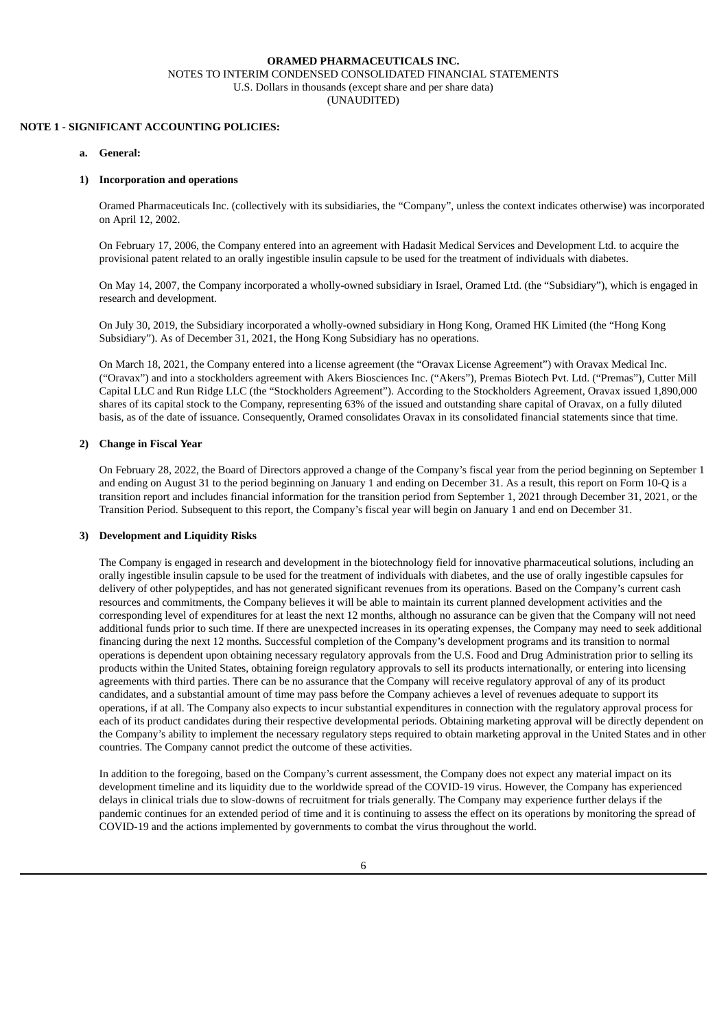# <span id="page-8-0"></span>**NOTE 1 - SIGNIFICANT ACCOUNTING POLICIES:**

#### **a. General:**

# **1) Incorporation and operations**

Oramed Pharmaceuticals Inc. (collectively with its subsidiaries, the "Company", unless the context indicates otherwise) was incorporated on April 12, 2002.

On February 17, 2006, the Company entered into an agreement with Hadasit Medical Services and Development Ltd. to acquire the provisional patent related to an orally ingestible insulin capsule to be used for the treatment of individuals with diabetes.

On May 14, 2007, the Company incorporated a wholly-owned subsidiary in Israel, Oramed Ltd. (the "Subsidiary"), which is engaged in research and development.

On July 30, 2019, the Subsidiary incorporated a wholly-owned subsidiary in Hong Kong, Oramed HK Limited (the "Hong Kong Subsidiary"). As of December 31, 2021, the Hong Kong Subsidiary has no operations.

On March 18, 2021, the Company entered into a license agreement (the "Oravax License Agreement") with Oravax Medical Inc. ("Oravax") and into a stockholders agreement with Akers Biosciences Inc. ("Akers"), Premas Biotech Pvt. Ltd. ("Premas"), Cutter Mill Capital LLC and Run Ridge LLC (the "Stockholders Agreement"). According to the Stockholders Agreement, Oravax issued 1,890,000 shares of its capital stock to the Company, representing 63% of the issued and outstanding share capital of Oravax, on a fully diluted basis, as of the date of issuance. Consequently, Oramed consolidates Oravax in its consolidated financial statements since that time.

### **2) Change in Fiscal Year**

On February 28, 2022, the Board of Directors approved a change of the Company's fiscal year from the period beginning on September 1 and ending on August 31 to the period beginning on January 1 and ending on December 31. As a result, this report on Form 10-Q is a transition report and includes financial information for the transition period from September 1, 2021 through December 31, 2021, or the Transition Period. Subsequent to this report, the Company's fiscal year will begin on January 1 and end on December 31.

# **3) Development and Liquidity Risks**

The Company is engaged in research and development in the biotechnology field for innovative pharmaceutical solutions, including an orally ingestible insulin capsule to be used for the treatment of individuals with diabetes, and the use of orally ingestible capsules for delivery of other polypeptides, and has not generated significant revenues from its operations. Based on the Company's current cash resources and commitments, the Company believes it will be able to maintain its current planned development activities and the corresponding level of expenditures for at least the next 12 months, although no assurance can be given that the Company will not need additional funds prior to such time. If there are unexpected increases in its operating expenses, the Company may need to seek additional financing during the next 12 months. Successful completion of the Company's development programs and its transition to normal operations is dependent upon obtaining necessary regulatory approvals from the U.S. Food and Drug Administration prior to selling its products within the United States, obtaining foreign regulatory approvals to sell its products internationally, or entering into licensing agreements with third parties. There can be no assurance that the Company will receive regulatory approval of any of its product candidates, and a substantial amount of time may pass before the Company achieves a level of revenues adequate to support its operations, if at all. The Company also expects to incur substantial expenditures in connection with the regulatory approval process for each of its product candidates during their respective developmental periods. Obtaining marketing approval will be directly dependent on the Company's ability to implement the necessary regulatory steps required to obtain marketing approval in the United States and in other countries. The Company cannot predict the outcome of these activities.

In addition to the foregoing, based on the Company's current assessment, the Company does not expect any material impact on its development timeline and its liquidity due to the worldwide spread of the COVID-19 virus. However, the Company has experienced delays in clinical trials due to slow-downs of recruitment for trials generally. The Company may experience further delays if the pandemic continues for an extended period of time and it is continuing to assess the effect on its operations by monitoring the spread of COVID-19 and the actions implemented by governments to combat the virus throughout the world.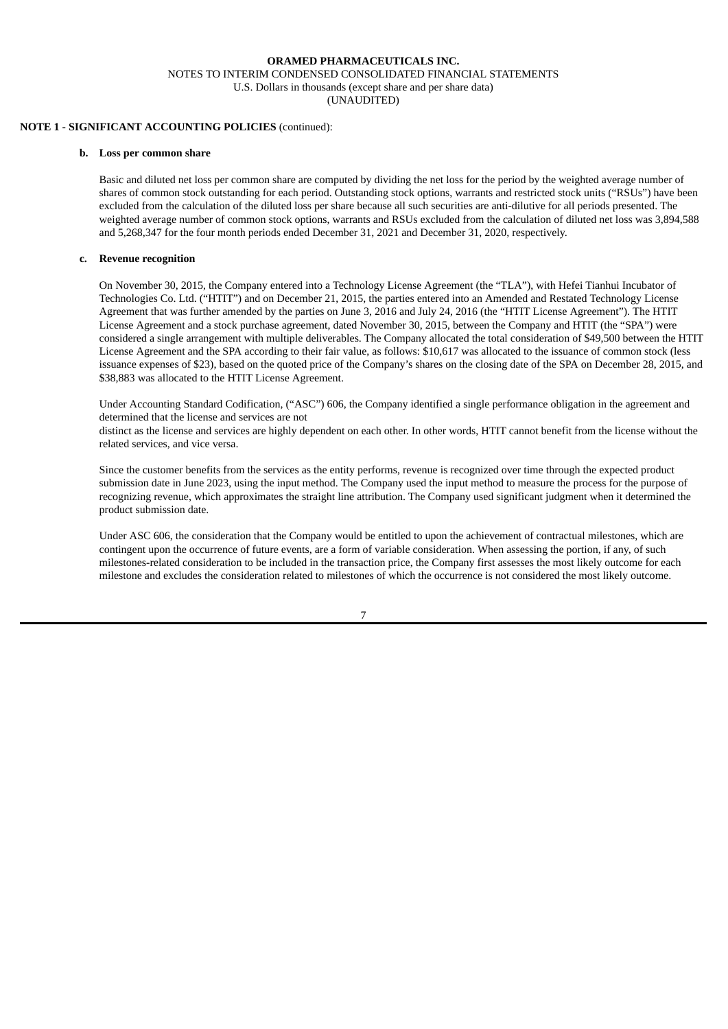# **NOTE 1 - SIGNIFICANT ACCOUNTING POLICIES** (continued):

## **b. Loss per common share**

Basic and diluted net loss per common share are computed by dividing the net loss for the period by the weighted average number of shares of common stock outstanding for each period. Outstanding stock options, warrants and restricted stock units ("RSUs") have been excluded from the calculation of the diluted loss per share because all such securities are anti-dilutive for all periods presented. The weighted average number of common stock options, warrants and RSUs excluded from the calculation of diluted net loss was 3,894,588 and 5,268,347 for the four month periods ended December 31, 2021 and December 31, 2020, respectively.

### **c. Revenue recognition**

On November 30, 2015, the Company entered into a Technology License Agreement (the "TLA"), with Hefei Tianhui Incubator of Technologies Co. Ltd. ("HTIT") and on December 21, 2015, the parties entered into an Amended and Restated Technology License Agreement that was further amended by the parties on June 3, 2016 and July 24, 2016 (the "HTIT License Agreement"). The HTIT License Agreement and a stock purchase agreement, dated November 30, 2015, between the Company and HTIT (the "SPA") were considered a single arrangement with multiple deliverables. The Company allocated the total consideration of \$49,500 between the HTIT License Agreement and the SPA according to their fair value, as follows: \$10,617 was allocated to the issuance of common stock (less issuance expenses of \$23), based on the quoted price of the Company's shares on the closing date of the SPA on December 28, 2015, and \$38,883 was allocated to the HTIT License Agreement.

Under Accounting Standard Codification, ("ASC") 606, the Company identified a single performance obligation in the agreement and determined that the license and services are not

distinct as the license and services are highly dependent on each other. In other words, HTIT cannot benefit from the license without the related services, and vice versa.

Since the customer benefits from the services as the entity performs, revenue is recognized over time through the expected product submission date in June 2023, using the input method. The Company used the input method to measure the process for the purpose of recognizing revenue, which approximates the straight line attribution. The Company used significant judgment when it determined the product submission date.

Under ASC 606, the consideration that the Company would be entitled to upon the achievement of contractual milestones, which are contingent upon the occurrence of future events, are a form of variable consideration. When assessing the portion, if any, of such milestones-related consideration to be included in the transaction price, the Company first assesses the most likely outcome for each milestone and excludes the consideration related to milestones of which the occurrence is not considered the most likely outcome.

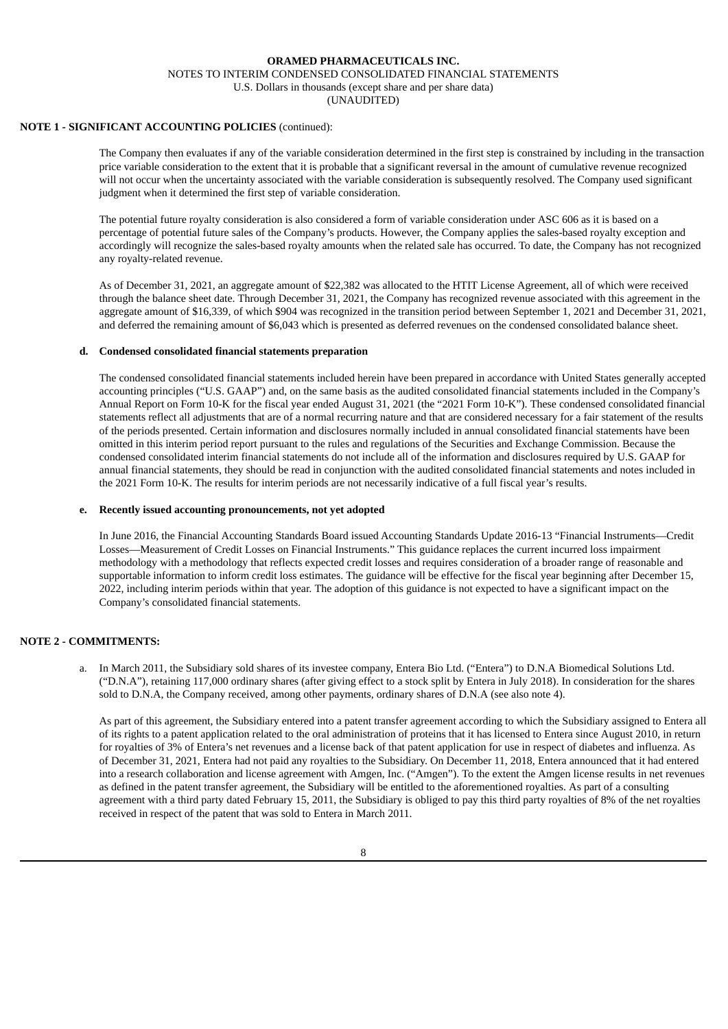# **NOTE 1 - SIGNIFICANT ACCOUNTING POLICIES** (continued):

The Company then evaluates if any of the variable consideration determined in the first step is constrained by including in the transaction price variable consideration to the extent that it is probable that a significant reversal in the amount of cumulative revenue recognized will not occur when the uncertainty associated with the variable consideration is subsequently resolved. The Company used significant judgment when it determined the first step of variable consideration.

The potential future royalty consideration is also considered a form of variable consideration under ASC 606 as it is based on a percentage of potential future sales of the Company's products. However, the Company applies the sales-based royalty exception and accordingly will recognize the sales-based royalty amounts when the related sale has occurred. To date, the Company has not recognized any royalty-related revenue.

As of December 31, 2021, an aggregate amount of \$22,382 was allocated to the HTIT License Agreement, all of which were received through the balance sheet date. Through December 31, 2021, the Company has recognized revenue associated with this agreement in the aggregate amount of \$16,339, of which \$904 was recognized in the transition period between September 1, 2021 and December 31, 2021, and deferred the remaining amount of \$6,043 which is presented as deferred revenues on the condensed consolidated balance sheet.

### **d. Condensed consolidated financial statements preparation**

The condensed consolidated financial statements included herein have been prepared in accordance with United States generally accepted accounting principles ("U.S. GAAP") and, on the same basis as the audited consolidated financial statements included in the Company's Annual Report on Form 10-K for the fiscal year ended August 31, 2021 (the "2021 Form 10-K"). These condensed consolidated financial statements reflect all adjustments that are of a normal recurring nature and that are considered necessary for a fair statement of the results of the periods presented. Certain information and disclosures normally included in annual consolidated financial statements have been omitted in this interim period report pursuant to the rules and regulations of the Securities and Exchange Commission. Because the condensed consolidated interim financial statements do not include all of the information and disclosures required by U.S. GAAP for annual financial statements, they should be read in conjunction with the audited consolidated financial statements and notes included in the 2021 Form 10-K. The results for interim periods are not necessarily indicative of a full fiscal year's results.

### **e. Recently issued accounting pronouncements, not yet adopted**

In June 2016, the Financial Accounting Standards Board issued Accounting Standards Update 2016-13 "Financial Instruments—Credit Losses—Measurement of Credit Losses on Financial Instruments." This guidance replaces the current incurred loss impairment methodology with a methodology that reflects expected credit losses and requires consideration of a broader range of reasonable and supportable information to inform credit loss estimates. The guidance will be effective for the fiscal year beginning after December 15, 2022, including interim periods within that year. The adoption of this guidance is not expected to have a significant impact on the Company's consolidated financial statements.

# **NOTE 2 - COMMITMENTS:**

a. In March 2011, the Subsidiary sold shares of its investee company, Entera Bio Ltd. ("Entera") to D.N.A Biomedical Solutions Ltd. ("D.N.A"), retaining 117,000 ordinary shares (after giving effect to a stock split by Entera in July 2018). In consideration for the shares sold to D.N.A, the Company received, among other payments, ordinary shares of D.N.A (see also note 4).

As part of this agreement, the Subsidiary entered into a patent transfer agreement according to which the Subsidiary assigned to Entera all of its rights to a patent application related to the oral administration of proteins that it has licensed to Entera since August 2010, in return for royalties of 3% of Entera's net revenues and a license back of that patent application for use in respect of diabetes and influenza. As of December 31, 2021, Entera had not paid any royalties to the Subsidiary. On December 11, 2018, Entera announced that it had entered into a research collaboration and license agreement with Amgen, Inc. ("Amgen"). To the extent the Amgen license results in net revenues as defined in the patent transfer agreement, the Subsidiary will be entitled to the aforementioned royalties. As part of a consulting agreement with a third party dated February 15, 2011, the Subsidiary is obliged to pay this third party royalties of 8% of the net royalties received in respect of the patent that was sold to Entera in March 2011.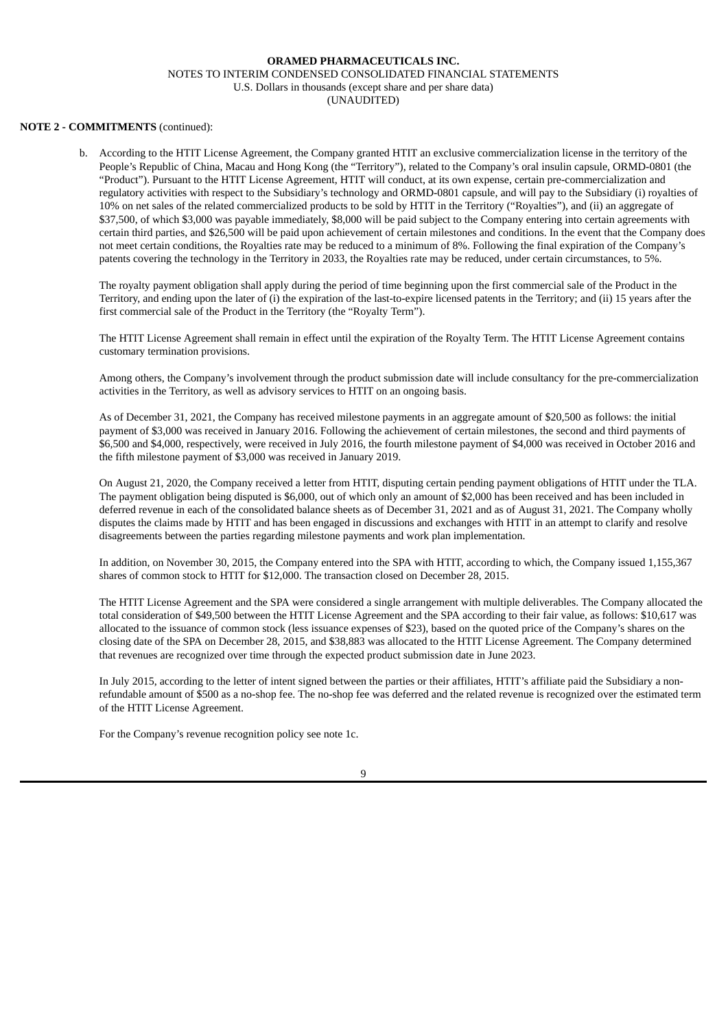### **NOTE 2 - COMMITMENTS** (continued):

b. According to the HTIT License Agreement, the Company granted HTIT an exclusive commercialization license in the territory of the People's Republic of China, Macau and Hong Kong (the "Territory"), related to the Company's oral insulin capsule, ORMD-0801 (the "Product"). Pursuant to the HTIT License Agreement, HTIT will conduct, at its own expense, certain pre-commercialization and regulatory activities with respect to the Subsidiary's technology and ORMD-0801 capsule, and will pay to the Subsidiary (i) royalties of 10% on net sales of the related commercialized products to be sold by HTIT in the Territory ("Royalties"), and (ii) an aggregate of \$37,500, of which \$3,000 was payable immediately, \$8,000 will be paid subject to the Company entering into certain agreements with certain third parties, and \$26,500 will be paid upon achievement of certain milestones and conditions. In the event that the Company does not meet certain conditions, the Royalties rate may be reduced to a minimum of 8%. Following the final expiration of the Company's patents covering the technology in the Territory in 2033, the Royalties rate may be reduced, under certain circumstances, to 5%.

The royalty payment obligation shall apply during the period of time beginning upon the first commercial sale of the Product in the Territory, and ending upon the later of (i) the expiration of the last-to-expire licensed patents in the Territory; and (ii) 15 years after the first commercial sale of the Product in the Territory (the "Royalty Term").

The HTIT License Agreement shall remain in effect until the expiration of the Royalty Term. The HTIT License Agreement contains customary termination provisions.

Among others, the Company's involvement through the product submission date will include consultancy for the pre-commercialization activities in the Territory, as well as advisory services to HTIT on an ongoing basis.

As of December 31, 2021, the Company has received milestone payments in an aggregate amount of \$20,500 as follows: the initial payment of \$3,000 was received in January 2016. Following the achievement of certain milestones, the second and third payments of \$6,500 and \$4,000, respectively, were received in July 2016, the fourth milestone payment of \$4,000 was received in October 2016 and the fifth milestone payment of \$3,000 was received in January 2019.

On August 21, 2020, the Company received a letter from HTIT, disputing certain pending payment obligations of HTIT under the TLA. The payment obligation being disputed is \$6,000, out of which only an amount of \$2,000 has been received and has been included in deferred revenue in each of the consolidated balance sheets as of December 31, 2021 and as of August 31, 2021. The Company wholly disputes the claims made by HTIT and has been engaged in discussions and exchanges with HTIT in an attempt to clarify and resolve disagreements between the parties regarding milestone payments and work plan implementation.

In addition, on November 30, 2015, the Company entered into the SPA with HTIT, according to which, the Company issued 1,155,367 shares of common stock to HTIT for \$12,000. The transaction closed on December 28, 2015.

The HTIT License Agreement and the SPA were considered a single arrangement with multiple deliverables. The Company allocated the total consideration of \$49,500 between the HTIT License Agreement and the SPA according to their fair value, as follows: \$10,617 was allocated to the issuance of common stock (less issuance expenses of \$23), based on the quoted price of the Company's shares on the closing date of the SPA on December 28, 2015, and \$38,883 was allocated to the HTIT License Agreement. The Company determined that revenues are recognized over time through the expected product submission date in June 2023.

In July 2015, according to the letter of intent signed between the parties or their affiliates, HTIT's affiliate paid the Subsidiary a nonrefundable amount of \$500 as a no-shop fee. The no-shop fee was deferred and the related revenue is recognized over the estimated term of the HTIT License Agreement.

For the Company's revenue recognition policy see note 1c.

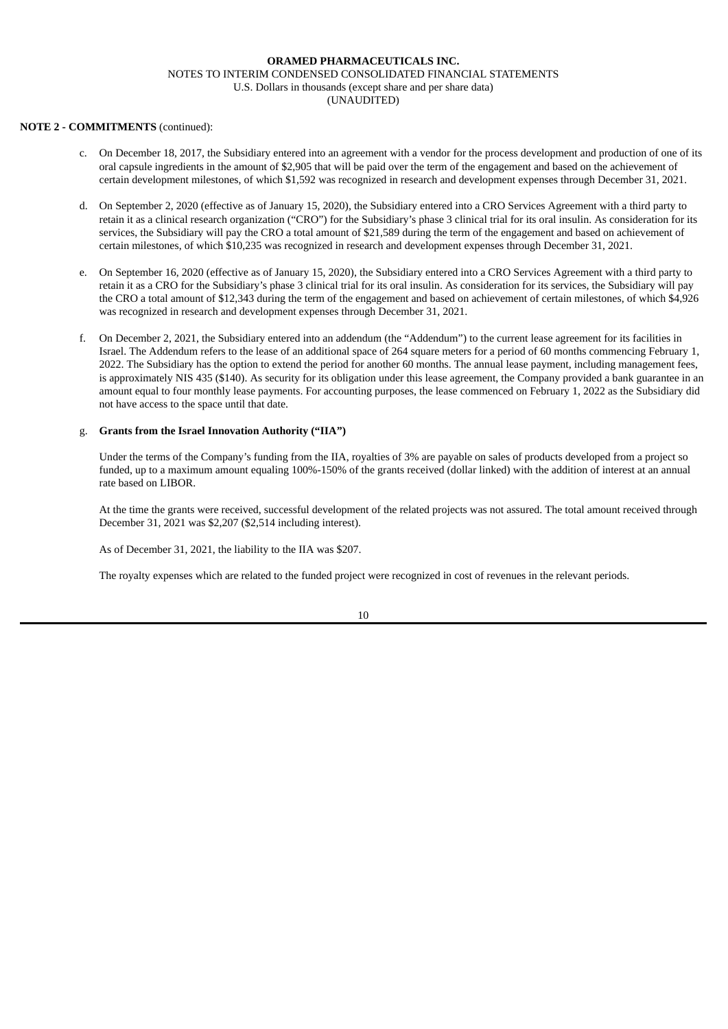### **NOTE 2 - COMMITMENTS** (continued):

- c. On December 18, 2017, the Subsidiary entered into an agreement with a vendor for the process development and production of one of its oral capsule ingredients in the amount of \$2,905 that will be paid over the term of the engagement and based on the achievement of certain development milestones, of which \$1,592 was recognized in research and development expenses through December 31, 2021.
- d. On September 2, 2020 (effective as of January 15, 2020), the Subsidiary entered into a CRO Services Agreement with a third party to retain it as a clinical research organization ("CRO") for the Subsidiary's phase 3 clinical trial for its oral insulin. As consideration for its services, the Subsidiary will pay the CRO a total amount of \$21,589 during the term of the engagement and based on achievement of certain milestones, of which \$10,235 was recognized in research and development expenses through December 31, 2021.
- e. On September 16, 2020 (effective as of January 15, 2020), the Subsidiary entered into a CRO Services Agreement with a third party to retain it as a CRO for the Subsidiary's phase 3 clinical trial for its oral insulin. As consideration for its services, the Subsidiary will pay the CRO a total amount of \$12,343 during the term of the engagement and based on achievement of certain milestones, of which \$4,926 was recognized in research and development expenses through December 31, 2021.
- f. On December 2, 2021, the Subsidiary entered into an addendum (the "Addendum") to the current lease agreement for its facilities in Israel. The Addendum refers to the lease of an additional space of 264 square meters for a period of 60 months commencing February 1, 2022. The Subsidiary has the option to extend the period for another 60 months. The annual lease payment, including management fees, is approximately NIS 435 (\$140). As security for its obligation under this lease agreement, the Company provided a bank guarantee in an amount equal to four monthly lease payments. For accounting purposes, the lease commenced on February 1, 2022 as the Subsidiary did not have access to the space until that date.

### g. **Grants from the Israel Innovation Authority ("IIA")**

Under the terms of the Company's funding from the IIA, royalties of 3% are payable on sales of products developed from a project so funded, up to a maximum amount equaling 100%-150% of the grants received (dollar linked) with the addition of interest at an annual rate based on LIBOR.

At the time the grants were received, successful development of the related projects was not assured. The total amount received through December 31, 2021 was \$2,207 (\$2,514 including interest).

As of December 31, 2021, the liability to the IIA was \$207.

The royalty expenses which are related to the funded project were recognized in cost of revenues in the relevant periods.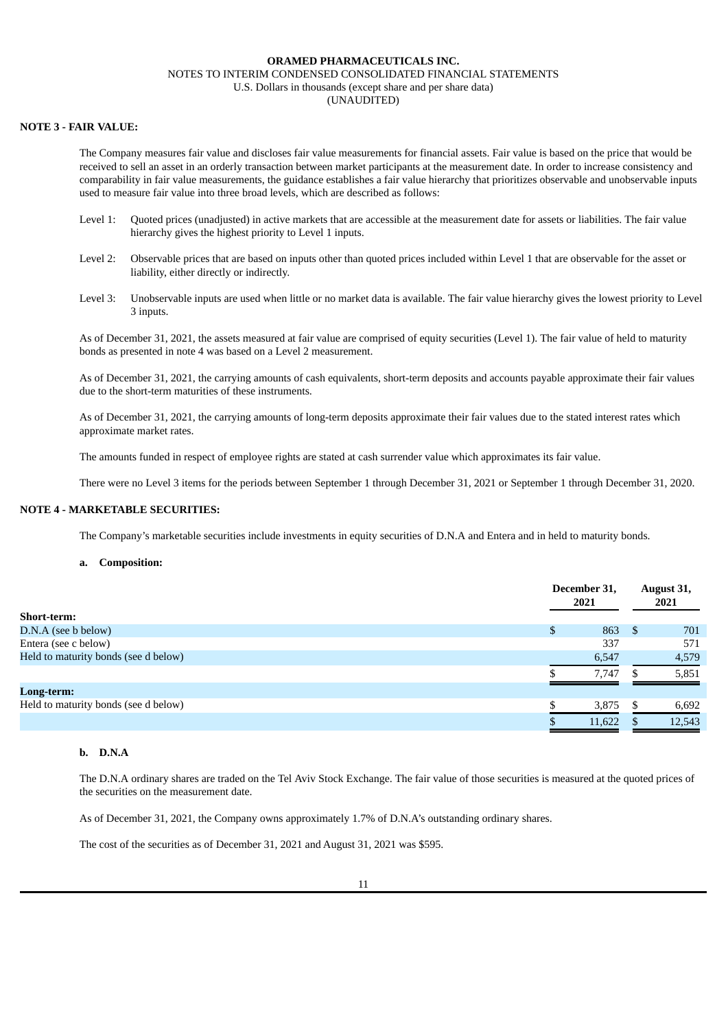# **NOTE 3 - FAIR VALUE:**

The Company measures fair value and discloses fair value measurements for financial assets. Fair value is based on the price that would be received to sell an asset in an orderly transaction between market participants at the measurement date. In order to increase consistency and comparability in fair value measurements, the guidance establishes a fair value hierarchy that prioritizes observable and unobservable inputs used to measure fair value into three broad levels, which are described as follows:

- Level 1: Quoted prices (unadjusted) in active markets that are accessible at the measurement date for assets or liabilities. The fair value hierarchy gives the highest priority to Level 1 inputs.
- Level 2: Observable prices that are based on inputs other than quoted prices included within Level 1 that are observable for the asset or liability, either directly or indirectly.
- Level 3: Unobservable inputs are used when little or no market data is available. The fair value hierarchy gives the lowest priority to Level 3 inputs.

As of December 31, 2021, the assets measured at fair value are comprised of equity securities (Level 1). The fair value of held to maturity bonds as presented in note 4 was based on a Level 2 measurement.

As of December 31, 2021, the carrying amounts of cash equivalents, short-term deposits and accounts payable approximate their fair values due to the short-term maturities of these instruments.

As of December 31, 2021, the carrying amounts of long-term deposits approximate their fair values due to the stated interest rates which approximate market rates.

The amounts funded in respect of employee rights are stated at cash surrender value which approximates its fair value.

There were no Level 3 items for the periods between September 1 through December 31, 2021 or September 1 through December 31, 2020.

### **NOTE 4 - MARKETABLE SECURITIES:**

The Company's marketable securities include investments in equity securities of D.N.A and Entera and in held to maturity bonds.

#### **a. Composition:**

|                                      |    | December 31,<br>2021 |    |        |
|--------------------------------------|----|----------------------|----|--------|
| <b>Short-term:</b>                   |    |                      |    |        |
| D.N.A (see b below)                  | \$ | 863                  | -S | 701    |
| Entera (see c below)                 |    | 337                  |    | 571    |
| Held to maturity bonds (see d below) |    | 6,547                |    | 4,579  |
|                                      |    | 7.747                |    | 5,851  |
| Long-term:                           |    |                      |    |        |
| Held to maturity bonds (see d below) | ¢  | 3,875                | -S | 6,692  |
|                                      |    | 11,622               |    | 12,543 |
|                                      |    |                      |    |        |

# **b. D.N.A**

The D.N.A ordinary shares are traded on the Tel Aviv Stock Exchange. The fair value of those securities is measured at the quoted prices of the securities on the measurement date.

As of December 31, 2021, the Company owns approximately 1.7% of D.N.A's outstanding ordinary shares.

The cost of the securities as of December 31, 2021 and August 31, 2021 was \$595.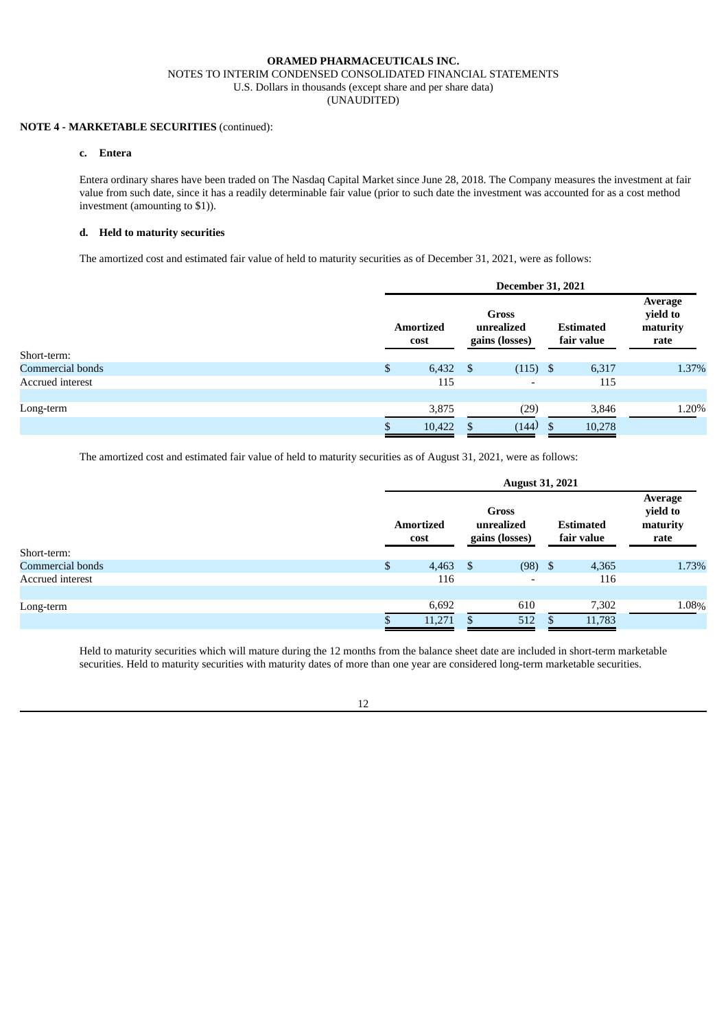# **NOTE 4 - MARKETABLE SECURITIES** (continued):

## **c. Entera**

Entera ordinary shares have been traded on The Nasdaq Capital Market since June 28, 2018. The Company measures the investment at fair value from such date, since it has a readily determinable fair value (prior to such date the investment was accounted for as a cost method investment (amounting to \$1)).

# **d. Held to maturity securities**

The amortized cost and estimated fair value of held to maturity securities as of December 31, 2021, were as follows:

|                  |    | <b>December 31, 2021</b> |  |                                       |  |                                |                                         |
|------------------|----|--------------------------|--|---------------------------------------|--|--------------------------------|-----------------------------------------|
|                  |    | <b>Amortized</b><br>cost |  | Gross<br>unrealized<br>gains (losses) |  | <b>Estimated</b><br>fair value | Average<br>yield to<br>maturity<br>rate |
| Short-term:      |    |                          |  |                                       |  |                                |                                         |
| Commercial bonds | \$ | 6,432 \$                 |  | $(115)$ \$                            |  | 6,317                          | 1.37%                                   |
| Accrued interest |    | 115                      |  | $\overline{\phantom{0}}$              |  | 115                            |                                         |
|                  |    |                          |  |                                       |  |                                |                                         |
| Long-term        |    | 3,875                    |  | (29)                                  |  | 3,846                          | 1.20%                                   |
|                  |    | 10,422                   |  | (144)                                 |  | 10,278                         |                                         |

The amortized cost and estimated fair value of held to maturity securities as of August 31, 2021, were as follows:

|                  |    | <b>August 31, 2021</b>   |  |                                       |      |                                |       |                                         |  |
|------------------|----|--------------------------|--|---------------------------------------|------|--------------------------------|-------|-----------------------------------------|--|
|                  |    | <b>Amortized</b><br>cost |  | Gross<br>unrealized<br>gains (losses) |      | <b>Estimated</b><br>fair value |       | Average<br>yield to<br>maturity<br>rate |  |
| Short-term:      |    |                          |  |                                       |      |                                |       |                                         |  |
| Commercial bonds | \$ | $4,463$ \$               |  | (98)                                  | - \$ | 4,365                          | 1.73% |                                         |  |
| Accrued interest |    | 116                      |  | $\overline{\phantom{a}}$              |      | 116                            |       |                                         |  |
|                  |    |                          |  |                                       |      |                                |       |                                         |  |
| Long-term        |    | 6,692                    |  | 610                                   |      | 7,302                          | 1.08% |                                         |  |
|                  |    | 11,271                   |  | 512                                   |      | 11,783                         |       |                                         |  |
|                  |    |                          |  |                                       |      |                                |       |                                         |  |

Held to maturity securities which will mature during the 12 months from the balance sheet date are included in short-term marketable securities. Held to maturity securities with maturity dates of more than one year are considered long-term marketable securities.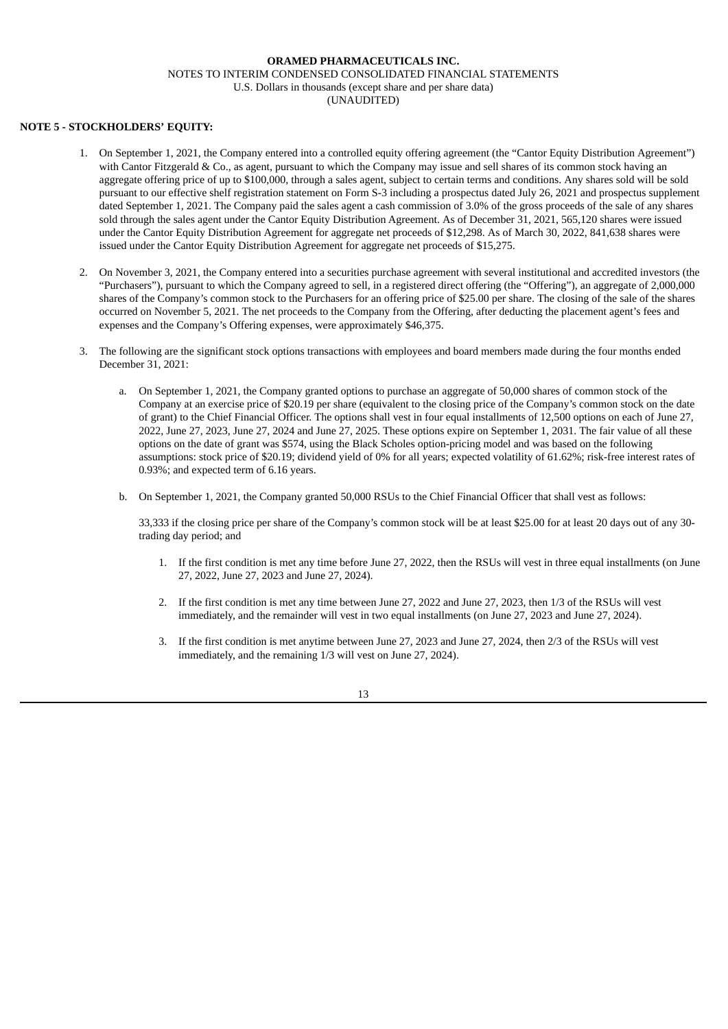# **NOTE 5 - STOCKHOLDERS' EQUITY:**

- 1. On September 1, 2021, the Company entered into a controlled equity offering agreement (the "Cantor Equity Distribution Agreement") with Cantor Fitzgerald & Co., as agent, pursuant to which the Company may issue and sell shares of its common stock having an aggregate offering price of up to \$100,000, through a sales agent, subject to certain terms and conditions. Any shares sold will be sold pursuant to our effective shelf registration statement on Form S-3 including a prospectus dated July 26, 2021 and prospectus supplement dated September 1, 2021. The Company paid the sales agent a cash commission of 3.0% of the gross proceeds of the sale of any shares sold through the sales agent under the Cantor Equity Distribution Agreement. As of December 31, 2021, 565,120 shares were issued under the Cantor Equity Distribution Agreement for aggregate net proceeds of \$12,298. As of March 30, 2022, 841,638 shares were issued under the Cantor Equity Distribution Agreement for aggregate net proceeds of \$15,275.
- 2. On November 3, 2021, the Company entered into a securities purchase agreement with several institutional and accredited investors (the "Purchasers"), pursuant to which the Company agreed to sell, in a registered direct offering (the "Offering"), an aggregate of 2,000,000 shares of the Company's common stock to the Purchasers for an offering price of \$25.00 per share. The closing of the sale of the shares occurred on November 5, 2021. The net proceeds to the Company from the Offering, after deducting the placement agent's fees and expenses and the Company's Offering expenses, were approximately \$46,375.
- 3. The following are the significant stock options transactions with employees and board members made during the four months ended December 31, 2021:
	- a. On September 1, 2021, the Company granted options to purchase an aggregate of 50,000 shares of common stock of the Company at an exercise price of \$20.19 per share (equivalent to the closing price of the Company's common stock on the date of grant) to the Chief Financial Officer. The options shall vest in four equal installments of 12,500 options on each of June 27, 2022, June 27, 2023, June 27, 2024 and June 27, 2025. These options expire on September 1, 2031. The fair value of all these options on the date of grant was \$574, using the Black Scholes option-pricing model and was based on the following assumptions: stock price of \$20.19; dividend yield of 0% for all years; expected volatility of 61.62%; risk-free interest rates of 0.93%; and expected term of 6.16 years.
	- b. On September 1, 2021, the Company granted 50,000 RSUs to the Chief Financial Officer that shall vest as follows:

33,333 if the closing price per share of the Company's common stock will be at least \$25.00 for at least 20 days out of any 30 trading day period; and

- 1. If the first condition is met any time before June 27, 2022, then the RSUs will vest in three equal installments (on June 27, 2022, June 27, 2023 and June 27, 2024).
- 2. If the first condition is met any time between June 27, 2022 and June 27, 2023, then 1/3 of the RSUs will vest immediately, and the remainder will vest in two equal installments (on June 27, 2023 and June 27, 2024).
- 3. If the first condition is met anytime between June 27, 2023 and June 27, 2024, then 2/3 of the RSUs will vest immediately, and the remaining 1/3 will vest on June 27, 2024).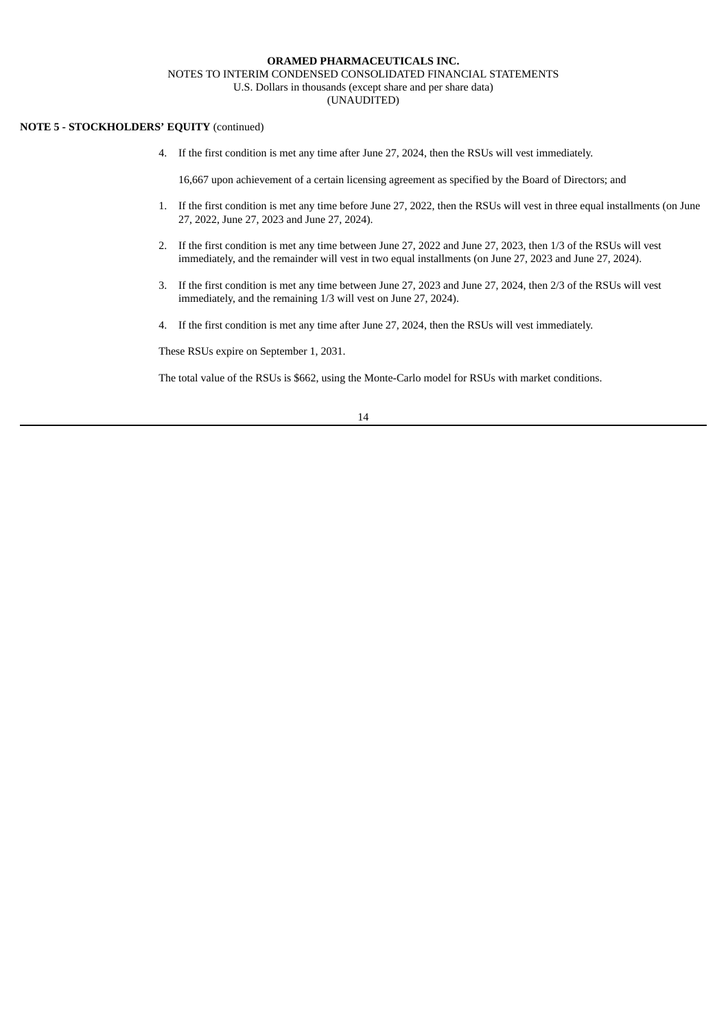# **NOTE 5 - STOCKHOLDERS' EQUITY** (continued)

4. If the first condition is met any time after June 27, 2024, then the RSUs will vest immediately.

16,667 upon achievement of a certain licensing agreement as specified by the Board of Directors; and

- 1. If the first condition is met any time before June 27, 2022, then the RSUs will vest in three equal installments (on June 27, 2022, June 27, 2023 and June 27, 2024).
- 2. If the first condition is met any time between June 27, 2022 and June 27, 2023, then 1/3 of the RSUs will vest immediately, and the remainder will vest in two equal installments (on June 27, 2023 and June 27, 2024).
- 3. If the first condition is met any time between June 27, 2023 and June 27, 2024, then 2/3 of the RSUs will vest immediately, and the remaining 1/3 will vest on June 27, 2024).
- 4. If the first condition is met any time after June 27, 2024, then the RSUs will vest immediately.

These RSUs expire on September 1, 2031.

The total value of the RSUs is \$662, using the Monte-Carlo model for RSUs with market conditions.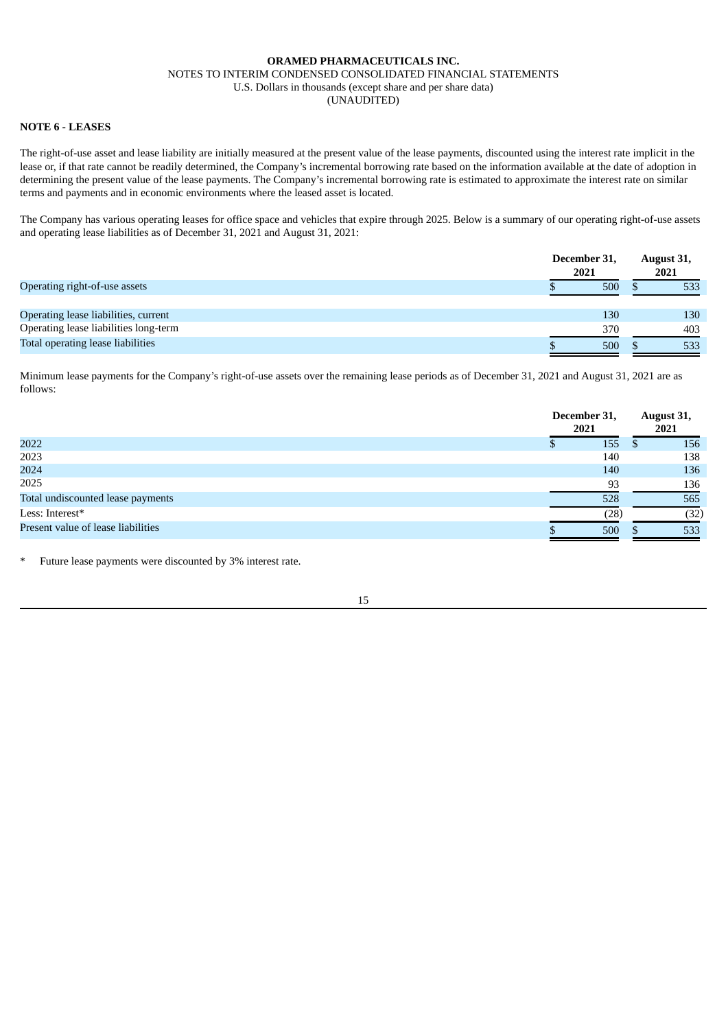# **NOTE 6 - LEASES**

The right-of-use asset and lease liability are initially measured at the present value of the lease payments, discounted using the interest rate implicit in the lease or, if that rate cannot be readily determined, the Company's incremental borrowing rate based on the information available at the date of adoption in determining the present value of the lease payments. The Company's incremental borrowing rate is estimated to approximate the interest rate on similar terms and payments and in economic environments where the leased asset is located.

The Company has various operating leases for office space and vehicles that expire through 2025. Below is a summary of our operating right-of-use assets and operating lease liabilities as of December 31, 2021 and August 31, 2021:

|                                       | December 31,<br>2021 |     | August 31,<br>2021 |
|---------------------------------------|----------------------|-----|--------------------|
| Operating right-of-use assets         |                      | 500 | 533                |
|                                       |                      |     |                    |
| Operating lease liabilities, current  |                      | 130 | 130                |
| Operating lease liabilities long-term |                      | 370 | 403                |
| Total operating lease liabilities     |                      | 500 | 533                |

Minimum lease payments for the Company's right-of-use assets over the remaining lease periods as of December 31, 2021 and August 31, 2021 are as follows:

|                                    | December 31,<br>2021 |  | August 31,<br>2021 |  |
|------------------------------------|----------------------|--|--------------------|--|
| 2022                               | 155                  |  | 156                |  |
| 2023                               | 140                  |  | 138                |  |
| 2024                               | 140                  |  | 136                |  |
| 2025                               | 93                   |  | 136                |  |
| Total undiscounted lease payments  | 528                  |  | 565                |  |
| Less: Interest*                    | (28)                 |  | (32)               |  |
| Present value of lease liabilities | 500                  |  | 533                |  |

Future lease payments were discounted by 3% interest rate.

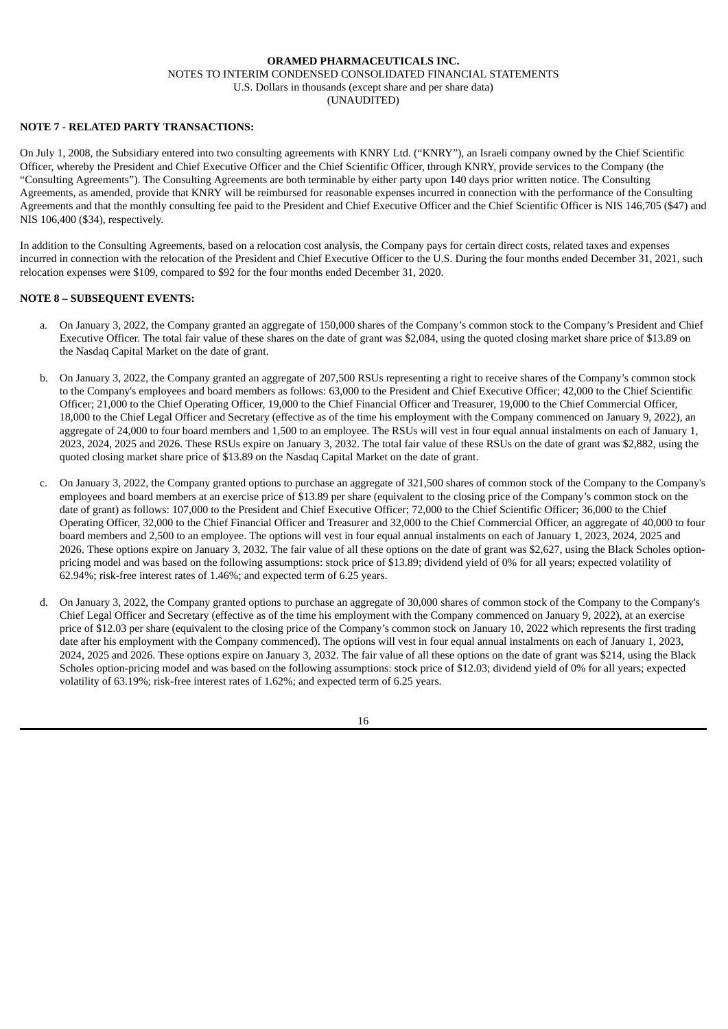# **NOTE 7 - RELATED PARTY TRANSACTIONS:**

On July 1, 2008, the Subsidiary entered into two consulting agreements with KNRY Ltd. ("KNRY"), an Israeli company owned by the Chief Scientific Officer, whereby the President and Chief Executive Officer and the Chief Scientific Officer, through KNRY, provide services to the Company (the "Consulting Agreements"). The Consulting Agreements are both terminable by either party upon 140 days prior written notice. The Consulting Agreements, as amended, provide that KNRY will be reimbursed for reasonable expenses incurred in connection with the performance of the Consulting Agreements and that the monthly consulting fee paid to the President and Chief Executive Officer and the Chief Scientific Officer is NIS 146,705 (\$47) and NIS 106,400 (\$34), respectively.

In addition to the Consulting Agreements, based on a relocation cost analysis, the Company pays for certain direct costs, related taxes and expenses incurred in connection with the relocation of the President and Chief Executive Officer to the U.S. During the four months ended December 31, 2021, such relocation expenses were \$109, compared to \$92 for the four months ended December 31, 2020.

### **NOTE 8 – SUBSEQUENT EVENTS:**

- a. On January 3, 2022, the Company granted an aggregate of 150,000 shares of the Company's common stock to the Company's President and Chief Executive Officer. The total fair value of these shares on the date of grant was \$2,084, using the quoted closing market share price of \$13.89 on the Nasdaq Capital Market on the date of grant.
- b. On January 3, 2022, the Company granted an aggregate of 207,500 RSUs representing a right to receive shares of the Company's common stock to the Company's employees and board members as follows: 63,000 to the President and Chief Executive Officer; 42,000 to the Chief Scientific Officer; 21,000 to the Chief Operating Officer, 19,000 to the Chief Financial Officer and Treasurer, 19,000 to the Chief Commercial Officer, 18,000 to the Chief Legal Officer and Secretary (effective as of the time his employment with the Company commenced on January 9, 2022), an aggregate of 24,000 to four board members and 1,500 to an employee. The RSUs will vest in four equal annual instalments on each of January 1, 2023, 2024, 2025 and 2026. These RSUs expire on January 3, 2032. The total fair value of these RSUs on the date of grant was \$2,882, using the quoted closing market share price of \$13.89 on the Nasdaq Capital Market on the date of grant.
- c. On January 3, 2022, the Company granted options to purchase an aggregate of 321,500 shares of common stock of the Company to the Company's employees and board members at an exercise price of \$13.89 per share (equivalent to the closing price of the Company's common stock on the date of grant) as follows: 107,000 to the President and Chief Executive Officer; 72,000 to the Chief Scientific Officer; 36,000 to the Chief Operating Officer, 32,000 to the Chief Financial Officer and Treasurer and 32,000 to the Chief Commercial Officer, an aggregate of 40,000 to four board members and 2,500 to an employee. The options will vest in four equal annual instalments on each of January 1, 2023, 2024, 2025 and 2026. These options expire on January 3, 2032. The fair value of all these options on the date of grant was \$2,627, using the Black Scholes optionpricing model and was based on the following assumptions: stock price of \$13.89; dividend yield of 0% for all years; expected volatility of 62.94%; risk-free interest rates of 1.46%; and expected term of 6.25 years.
- d. On January 3, 2022, the Company granted options to purchase an aggregate of 30,000 shares of common stock of the Company to the Company's Chief Legal Officer and Secretary (effective as of the time his employment with the Company commenced on January 9, 2022), at an exercise price of \$12.03 per share (equivalent to the closing price of the Company's common stock on January 10, 2022 which represents the first trading date after his employment with the Company commenced). The options will vest in four equal annual instalments on each of January 1, 2023, 2024, 2025 and 2026. These options expire on January 3, 2032. The fair value of all these options on the date of grant was \$214, using the Black Scholes option-pricing model and was based on the following assumptions: stock price of \$12.03; dividend yield of 0% for all years; expected volatility of 63.19%; risk-free interest rates of 1.62%; and expected term of 6.25 years.

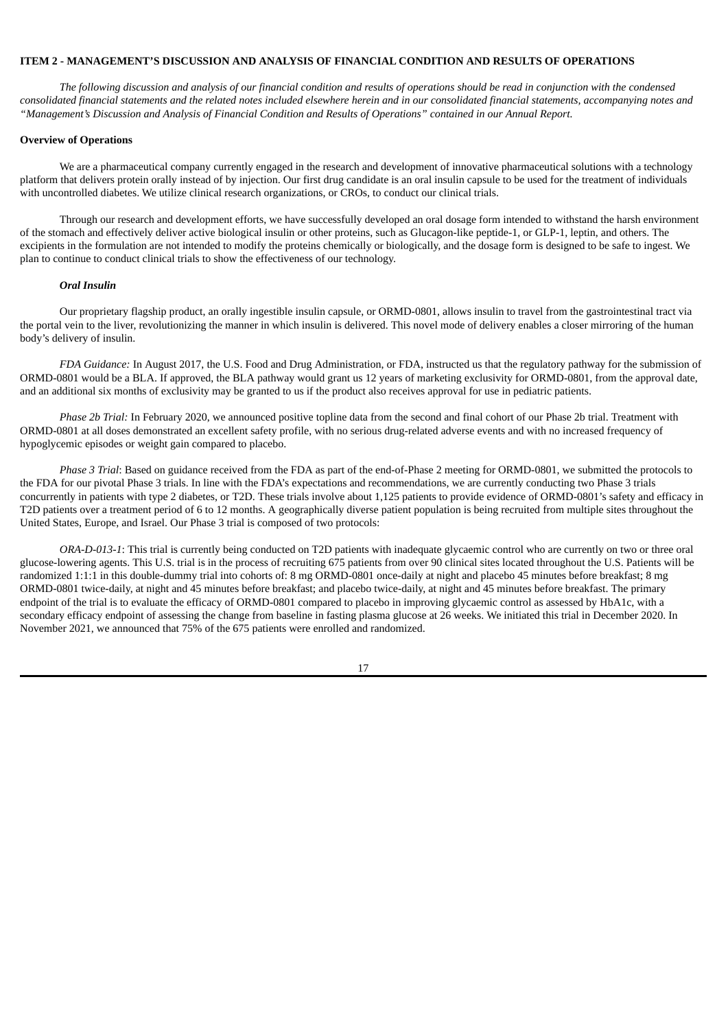# <span id="page-19-0"></span>**ITEM 2 - MANAGEMENT'S DISCUSSION AND ANALYSIS OF FINANCIAL CONDITION AND RESULTS OF OPERATIONS**

The following discussion and analysis of our financial condition and results of operations should be read in conjunction with the condensed consolidated financial statements and the related notes included elsewhere herein and in our consolidated financial statements, accompanying notes and "Management's Discussion and Analysis of Financial Condition and Results of Operations" contained in our Annual Report.

### **Overview of Operations**

We are a pharmaceutical company currently engaged in the research and development of innovative pharmaceutical solutions with a technology platform that delivers protein orally instead of by injection. Our first drug candidate is an oral insulin capsule to be used for the treatment of individuals with uncontrolled diabetes. We utilize clinical research organizations, or CROs, to conduct our clinical trials.

Through our research and development efforts, we have successfully developed an oral dosage form intended to withstand the harsh environment of the stomach and effectively deliver active biological insulin or other proteins, such as Glucagon-like peptide-1, or GLP-1, leptin, and others. The excipients in the formulation are not intended to modify the proteins chemically or biologically, and the dosage form is designed to be safe to ingest. We plan to continue to conduct clinical trials to show the effectiveness of our technology.

#### *Oral Insulin*

Our proprietary flagship product, an orally ingestible insulin capsule, or ORMD-0801, allows insulin to travel from the gastrointestinal tract via the portal vein to the liver, revolutionizing the manner in which insulin is delivered. This novel mode of delivery enables a closer mirroring of the human body's delivery of insulin.

*FDA Guidance:* In August 2017, the U.S. Food and Drug Administration, or FDA, instructed us that the regulatory pathway for the submission of ORMD-0801 would be a BLA. If approved, the BLA pathway would grant us 12 years of marketing exclusivity for ORMD-0801, from the approval date, and an additional six months of exclusivity may be granted to us if the product also receives approval for use in pediatric patients.

*Phase 2b Trial:* In February 2020, we announced positive topline data from the second and final cohort of our Phase 2b trial. Treatment with ORMD-0801 at all doses demonstrated an excellent safety profile, with no serious drug-related adverse events and with no increased frequency of hypoglycemic episodes or weight gain compared to placebo.

*Phase 3 Trial*: Based on guidance received from the FDA as part of the end-of-Phase 2 meeting for ORMD-0801, we submitted the protocols to the FDA for our pivotal Phase 3 trials. In line with the FDA's expectations and recommendations, we are currently conducting two Phase 3 trials concurrently in patients with type 2 diabetes, or T2D. These trials involve about 1,125 patients to provide evidence of ORMD-0801's safety and efficacy in T2D patients over a treatment period of 6 to 12 months. A geographically diverse patient population is being recruited from multiple sites throughout the United States, Europe, and Israel. Our Phase 3 trial is composed of two protocols:

*ORA-D-013-1*: This trial is currently being conducted on T2D patients with inadequate glycaemic control who are currently on two or three oral glucose-lowering agents. This U.S. trial is in the process of recruiting 675 patients from over 90 clinical sites located throughout the U.S. Patients will be randomized 1:1:1 in this double-dummy trial into cohorts of: 8 mg ORMD-0801 once-daily at night and placebo 45 minutes before breakfast; 8 mg ORMD-0801 twice-daily, at night and 45 minutes before breakfast; and placebo twice-daily, at night and 45 minutes before breakfast. The primary endpoint of the trial is to evaluate the efficacy of ORMD-0801 compared to placebo in improving glycaemic control as assessed by HbA1c, with a secondary efficacy endpoint of assessing the change from baseline in fasting plasma glucose at 26 weeks. We initiated this trial in December 2020. In November 2021, we announced that 75% of the 675 patients were enrolled and randomized.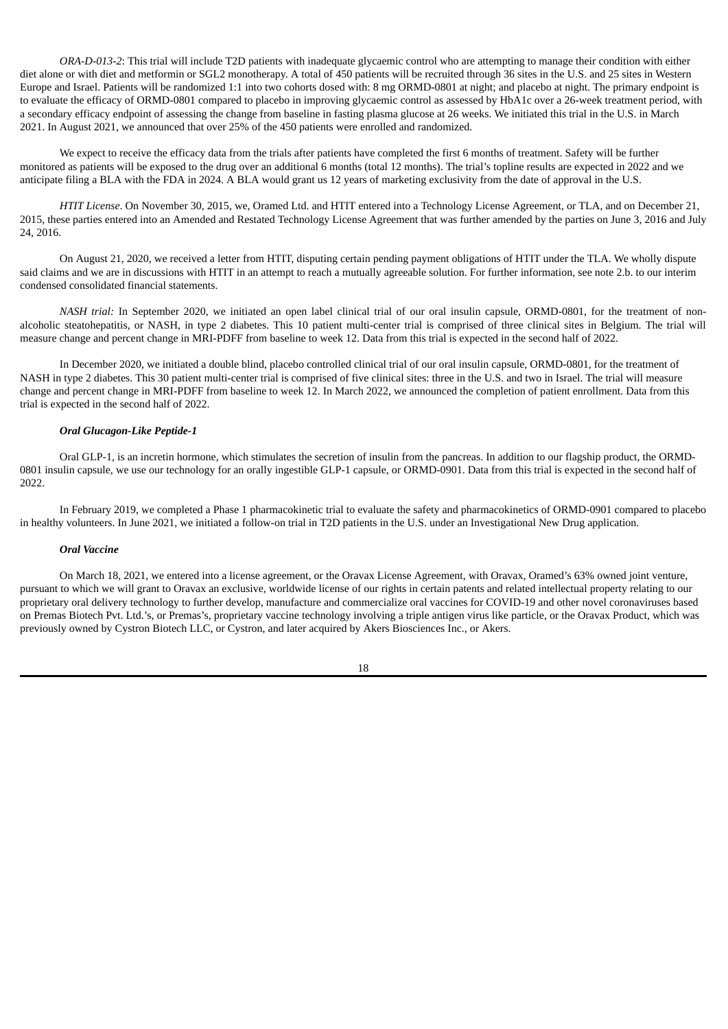*ORA-D-013-2*: This trial will include T2D patients with inadequate glycaemic control who are attempting to manage their condition with either diet alone or with diet and metformin or SGL2 monotherapy. A total of 450 patients will be recruited through 36 sites in the U.S. and 25 sites in Western Europe and Israel. Patients will be randomized 1:1 into two cohorts dosed with: 8 mg ORMD-0801 at night; and placebo at night. The primary endpoint is to evaluate the efficacy of ORMD-0801 compared to placebo in improving glycaemic control as assessed by HbA1c over a 26-week treatment period, with a secondary efficacy endpoint of assessing the change from baseline in fasting plasma glucose at 26 weeks. We initiated this trial in the U.S. in March 2021. In August 2021, we announced that over 25% of the 450 patients were enrolled and randomized.

We expect to receive the efficacy data from the trials after patients have completed the first 6 months of treatment. Safety will be further monitored as patients will be exposed to the drug over an additional 6 months (total 12 months). The trial's topline results are expected in 2022 and we anticipate filing a BLA with the FDA in 2024. A BLA would grant us 12 years of marketing exclusivity from the date of approval in the U.S.

*HTIT License*. On November 30, 2015, we, Oramed Ltd. and HTIT entered into a Technology License Agreement, or TLA, and on December 21, 2015, these parties entered into an Amended and Restated Technology License Agreement that was further amended by the parties on June 3, 2016 and July 24, 2016.

On August 21, 2020, we received a letter from HTIT, disputing certain pending payment obligations of HTIT under the TLA. We wholly dispute said claims and we are in discussions with HTIT in an attempt to reach a mutually agreeable solution. For further information, see note 2.b. to our interim condensed consolidated financial statements.

*NASH trial:* In September 2020, we initiated an open label clinical trial of our oral insulin capsule, ORMD-0801, for the treatment of nonalcoholic steatohepatitis, or NASH, in type 2 diabetes. This 10 patient multi-center trial is comprised of three clinical sites in Belgium. The trial will measure change and percent change in MRI-PDFF from baseline to week 12. Data from this trial is expected in the second half of 2022.

In December 2020, we initiated a double blind, placebo controlled clinical trial of our oral insulin capsule, ORMD-0801, for the treatment of NASH in type 2 diabetes. This 30 patient multi-center trial is comprised of five clinical sites: three in the U.S. and two in Israel. The trial will measure change and percent change in MRI-PDFF from baseline to week 12. In March 2022, we announced the completion of patient enrollment. Data from this trial is expected in the second half of 2022.

### *Oral Glucagon-Like Peptide-1*

Oral GLP-1, is an incretin hormone, which stimulates the secretion of insulin from the pancreas. In addition to our flagship product, the ORMD-0801 insulin capsule, we use our technology for an orally ingestible GLP-1 capsule, or ORMD-0901. Data from this trial is expected in the second half of 2022.

In February 2019, we completed a Phase 1 pharmacokinetic trial to evaluate the safety and pharmacokinetics of ORMD-0901 compared to placebo in healthy volunteers. In June 2021, we initiated a follow-on trial in T2D patients in the U.S. under an Investigational New Drug application.

#### *Oral Vaccine*

On March 18, 2021, we entered into a license agreement, or the Oravax License Agreement, with Oravax, Oramed's 63% owned joint venture, pursuant to which we will grant to Oravax an exclusive, worldwide license of our rights in certain patents and related intellectual property relating to our proprietary oral delivery technology to further develop, manufacture and commercialize oral vaccines for COVID-19 and other novel coronaviruses based on Premas Biotech Pvt. Ltd.'s, or Premas's, proprietary vaccine technology involving a triple antigen virus like particle, or the Oravax Product, which was previously owned by Cystron Biotech LLC, or Cystron, and later acquired by Akers Biosciences Inc., or Akers.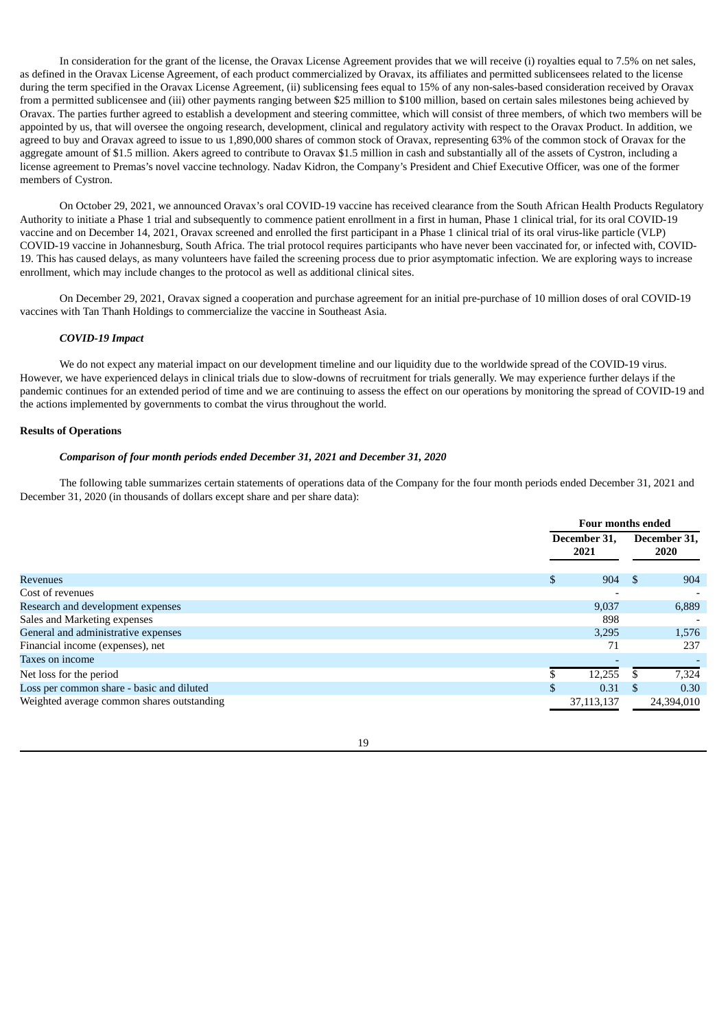In consideration for the grant of the license, the Oravax License Agreement provides that we will receive (i) royalties equal to 7.5% on net sales, as defined in the Oravax License Agreement, of each product commercialized by Oravax, its affiliates and permitted sublicensees related to the license during the term specified in the Oravax License Agreement, (ii) sublicensing fees equal to 15% of any non-sales-based consideration received by Oravax from a permitted sublicensee and (iii) other payments ranging between \$25 million to \$100 million, based on certain sales milestones being achieved by Oravax. The parties further agreed to establish a development and steering committee, which will consist of three members, of which two members will be appointed by us, that will oversee the ongoing research, development, clinical and regulatory activity with respect to the Oravax Product. In addition, we agreed to buy and Oravax agreed to issue to us 1,890,000 shares of common stock of Oravax, representing 63% of the common stock of Oravax for the aggregate amount of \$1.5 million. Akers agreed to contribute to Oravax \$1.5 million in cash and substantially all of the assets of Cystron, including a license agreement to Premas's novel vaccine technology. Nadav Kidron, the Company's President and Chief Executive Officer, was one of the former members of Cystron.

On October 29, 2021, we announced Oravax's oral COVID-19 vaccine has received clearance from the South African Health Products Regulatory Authority to initiate a Phase 1 trial and subsequently to commence patient enrollment in a first in human, Phase 1 clinical trial, for its oral COVID-19 vaccine and on December 14, 2021, Oravax screened and enrolled the first participant in a Phase 1 clinical trial of its oral virus-like particle (VLP) COVID-19 vaccine in Johannesburg, South Africa. The trial protocol requires participants who have never been vaccinated for, or infected with, COVID-19. This has caused delays, as many volunteers have failed the screening process due to prior asymptomatic infection. We are exploring ways to increase enrollment, which may include changes to the protocol as well as additional clinical sites.

On December 29, 2021, Oravax signed a cooperation and purchase agreement for an initial pre-purchase of 10 million doses of oral COVID-19 vaccines with Tan Thanh Holdings to commercialize the vaccine in Southeast Asia.

#### *COVID-19 Impact*

We do not expect any material impact on our development timeline and our liquidity due to the worldwide spread of the COVID-19 virus. However, we have experienced delays in clinical trials due to slow-downs of recruitment for trials generally. We may experience further delays if the pandemic continues for an extended period of time and we are continuing to assess the effect on our operations by monitoring the spread of COVID-19 and the actions implemented by governments to combat the virus throughout the world.

#### **Results of Operations**

### *Comparison of four month periods ended December 31, 2021 and December 31, 2020*

The following table summarizes certain statements of operations data of the Company for the four month periods ended December 31, 2021 and December 31, 2020 (in thousands of dollars except share and per share data):

|                                            | <b>Four months ended</b> |               |                      |
|--------------------------------------------|--------------------------|---------------|----------------------|
|                                            | December 31,<br>2021     |               | December 31,<br>2020 |
| <b>Revenues</b>                            | \$<br>904                | <sup>\$</sup> | 904                  |
| Cost of revenues                           |                          |               |                      |
| Research and development expenses          | 9,037                    |               | 6,889                |
| Sales and Marketing expenses               | 898                      |               |                      |
| General and administrative expenses        | 3,295                    |               | 1,576                |
| Financial income (expenses), net           | 71                       |               | 237                  |
| Taxes on income                            |                          |               |                      |
| Net loss for the period                    | 12.255                   |               | 7,324                |
| Loss per common share - basic and diluted  | \$<br>0.31               | \$.           | 0.30                 |
| Weighted average common shares outstanding | 37,113,137               |               | 24,394,010           |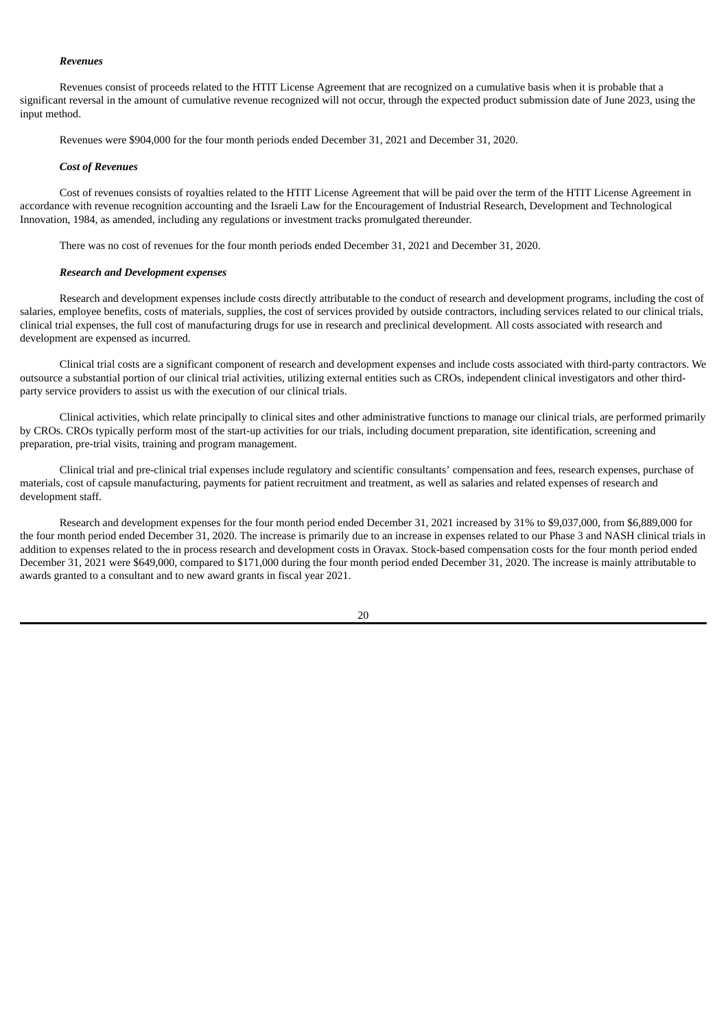### *Revenues*

Revenues consist of proceeds related to the HTIT License Agreement that are recognized on a cumulative basis when it is probable that a significant reversal in the amount of cumulative revenue recognized will not occur, through the expected product submission date of June 2023, using the input method.

Revenues were \$904,000 for the four month periods ended December 31, 2021 and December 31, 2020.

#### *Cost of Revenues*

Cost of revenues consists of royalties related to the HTIT License Agreement that will be paid over the term of the HTIT License Agreement in accordance with revenue recognition accounting and the Israeli Law for the Encouragement of Industrial Research, Development and Technological Innovation, 1984, as amended, including any regulations or investment tracks promulgated thereunder.

There was no cost of revenues for the four month periods ended December 31, 2021 and December 31, 2020.

#### *Research and Development expenses*

Research and development expenses include costs directly attributable to the conduct of research and development programs, including the cost of salaries, employee benefits, costs of materials, supplies, the cost of services provided by outside contractors, including services related to our clinical trials, clinical trial expenses, the full cost of manufacturing drugs for use in research and preclinical development. All costs associated with research and development are expensed as incurred.

Clinical trial costs are a significant component of research and development expenses and include costs associated with third-party contractors. We outsource a substantial portion of our clinical trial activities, utilizing external entities such as CROs, independent clinical investigators and other thirdparty service providers to assist us with the execution of our clinical trials.

Clinical activities, which relate principally to clinical sites and other administrative functions to manage our clinical trials, are performed primarily by CROs. CROs typically perform most of the start-up activities for our trials, including document preparation, site identification, screening and preparation, pre-trial visits, training and program management.

Clinical trial and pre-clinical trial expenses include regulatory and scientific consultants' compensation and fees, research expenses, purchase of materials, cost of capsule manufacturing, payments for patient recruitment and treatment, as well as salaries and related expenses of research and development staff.

Research and development expenses for the four month period ended December 31, 2021 increased by 31% to \$9,037,000, from \$6,889,000 for the four month period ended December 31, 2020. The increase is primarily due to an increase in expenses related to our Phase 3 and NASH clinical trials in addition to expenses related to the in process research and development costs in Oravax. Stock-based compensation costs for the four month period ended December 31, 2021 were \$649,000, compared to \$171,000 during the four month period ended December 31, 2020. The increase is mainly attributable to awards granted to a consultant and to new award grants in fiscal year 2021.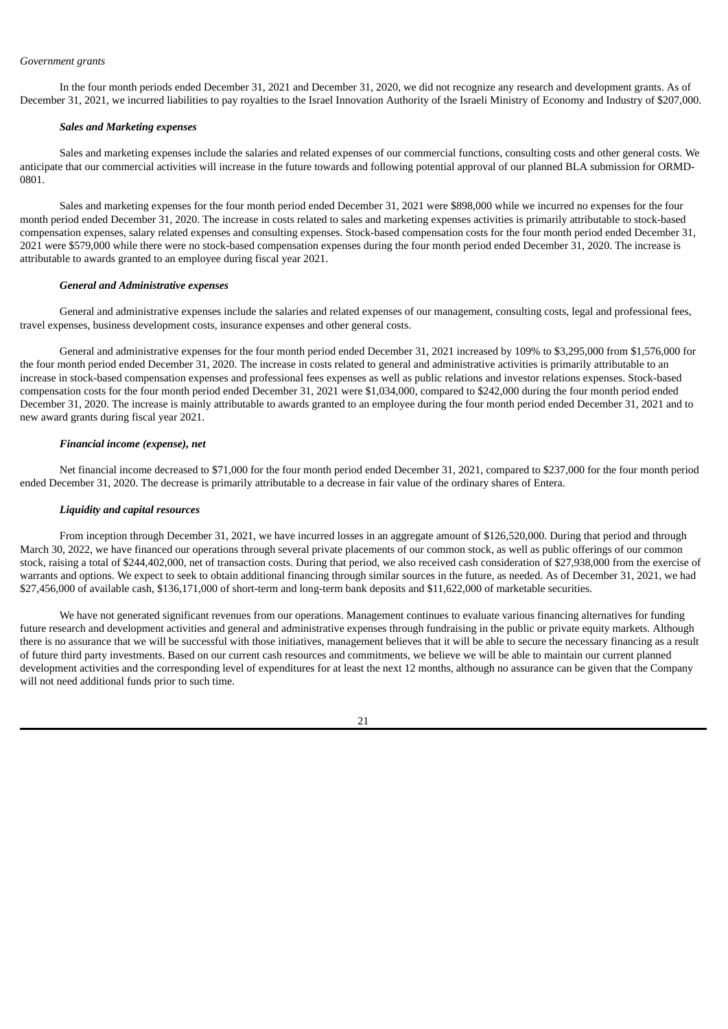### *Government grants*

In the four month periods ended December 31, 2021 and December 31, 2020, we did not recognize any research and development grants. As of December 31, 2021, we incurred liabilities to pay royalties to the Israel Innovation Authority of the Israeli Ministry of Economy and Industry of \$207,000.

### *Sales and Marketing expenses*

Sales and marketing expenses include the salaries and related expenses of our commercial functions, consulting costs and other general costs. We anticipate that our commercial activities will increase in the future towards and following potential approval of our planned BLA submission for ORMD-0801.

Sales and marketing expenses for the four month period ended December 31, 2021 were \$898,000 while we incurred no expenses for the four month period ended December 31, 2020. The increase in costs related to sales and marketing expenses activities is primarily attributable to stock-based compensation expenses, salary related expenses and consulting expenses. Stock-based compensation costs for the four month period ended December 31, 2021 were \$579,000 while there were no stock-based compensation expenses during the four month period ended December 31, 2020. The increase is attributable to awards granted to an employee during fiscal year 2021.

#### *General and Administrative expenses*

General and administrative expenses include the salaries and related expenses of our management, consulting costs, legal and professional fees, travel expenses, business development costs, insurance expenses and other general costs.

General and administrative expenses for the four month period ended December 31, 2021 increased by 109% to \$3,295,000 from \$1,576,000 for the four month period ended December 31, 2020. The increase in costs related to general and administrative activities is primarily attributable to an increase in stock-based compensation expenses and professional fees expenses as well as public relations and investor relations expenses. Stock-based compensation costs for the four month period ended December 31, 2021 were \$1,034,000, compared to \$242,000 during the four month period ended December 31, 2020. The increase is mainly attributable to awards granted to an employee during the four month period ended December 31, 2021 and to new award grants during fiscal year 2021.

#### *Financial income (expense), net*

Net financial income decreased to \$71,000 for the four month period ended December 31, 2021, compared to \$237,000 for the four month period ended December 31, 2020. The decrease is primarily attributable to a decrease in fair value of the ordinary shares of Entera.

#### *Liquidity and capital resources*

From inception through December 31, 2021, we have incurred losses in an aggregate amount of \$126,520,000. During that period and through March 30, 2022, we have financed our operations through several private placements of our common stock, as well as public offerings of our common stock, raising a total of \$244,402,000, net of transaction costs. During that period, we also received cash consideration of \$27,938,000 from the exercise of warrants and options. We expect to seek to obtain additional financing through similar sources in the future, as needed. As of December 31, 2021, we had \$27,456,000 of available cash, \$136,171,000 of short-term and long-term bank deposits and \$11,622,000 of marketable securities.

We have not generated significant revenues from our operations. Management continues to evaluate various financing alternatives for funding future research and development activities and general and administrative expenses through fundraising in the public or private equity markets. Although there is no assurance that we will be successful with those initiatives, management believes that it will be able to secure the necessary financing as a result of future third party investments. Based on our current cash resources and commitments, we believe we will be able to maintain our current planned development activities and the corresponding level of expenditures for at least the next 12 months, although no assurance can be given that the Company will not need additional funds prior to such time.

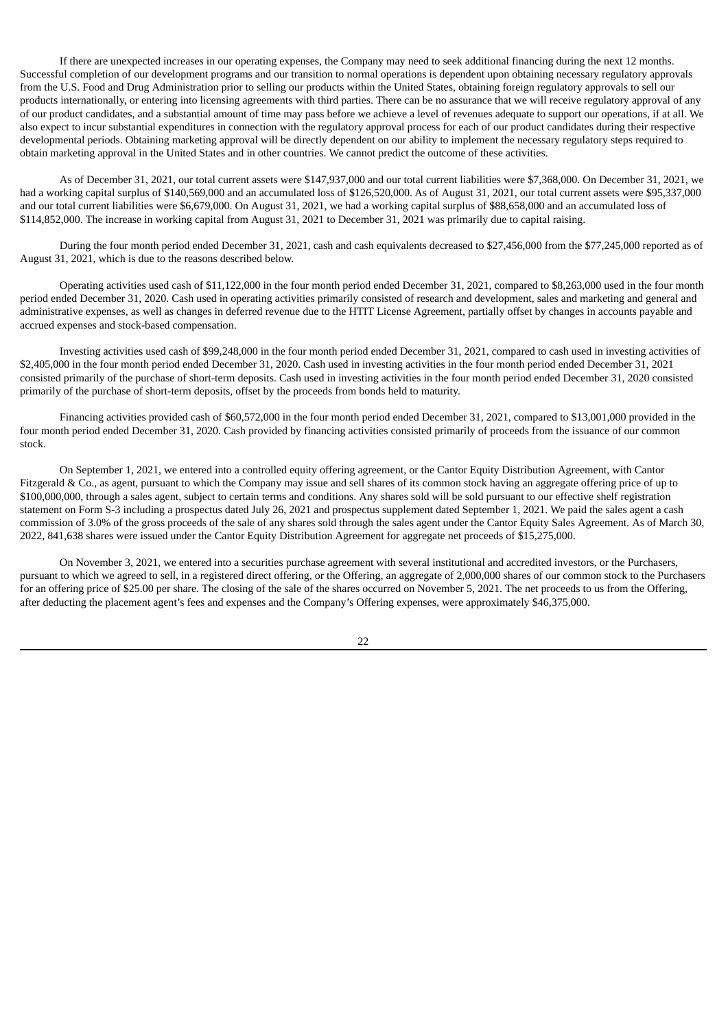If there are unexpected increases in our operating expenses, the Company may need to seek additional financing during the next 12 months. Successful completion of our development programs and our transition to normal operations is dependent upon obtaining necessary regulatory approvals from the U.S. Food and Drug Administration prior to selling our products within the United States, obtaining foreign regulatory approvals to sell our products internationally, or entering into licensing agreements with third parties. There can be no assurance that we will receive regulatory approval of any of our product candidates, and a substantial amount of time may pass before we achieve a level of revenues adequate to support our operations, if at all. We also expect to incur substantial expenditures in connection with the regulatory approval process for each of our product candidates during their respective developmental periods. Obtaining marketing approval will be directly dependent on our ability to implement the necessary regulatory steps required to obtain marketing approval in the United States and in other countries. We cannot predict the outcome of these activities.

As of December 31, 2021, our total current assets were \$147,937,000 and our total current liabilities were \$7,368,000. On December 31, 2021, we had a working capital surplus of \$140,569,000 and an accumulated loss of \$126,520,000. As of August 31, 2021, our total current assets were \$95,337,000 and our total current liabilities were \$6,679,000. On August 31, 2021, we had a working capital surplus of \$88,658,000 and an accumulated loss of \$114,852,000. The increase in working capital from August 31, 2021 to December 31, 2021 was primarily due to capital raising.

During the four month period ended December 31, 2021, cash and cash equivalents decreased to \$27,456,000 from the \$77,245,000 reported as of August 31, 2021, which is due to the reasons described below.

Operating activities used cash of \$11,122,000 in the four month period ended December 31, 2021, compared to \$8,263,000 used in the four month period ended December 31, 2020. Cash used in operating activities primarily consisted of research and development, sales and marketing and general and administrative expenses, as well as changes in deferred revenue due to the HTIT License Agreement, partially offset by changes in accounts payable and accrued expenses and stock-based compensation.

Investing activities used cash of \$99,248,000 in the four month period ended December 31, 2021, compared to cash used in investing activities of \$2,405,000 in the four month period ended December 31, 2020. Cash used in investing activities in the four month period ended December 31, 2021 consisted primarily of the purchase of short-term deposits. Cash used in investing activities in the four month period ended December 31, 2020 consisted primarily of the purchase of short-term deposits, offset by the proceeds from bonds held to maturity.

Financing activities provided cash of \$60,572,000 in the four month period ended December 31, 2021, compared to \$13,001,000 provided in the four month period ended December 31, 2020. Cash provided by financing activities consisted primarily of proceeds from the issuance of our common stock.

On September 1, 2021, we entered into a controlled equity offering agreement, or the Cantor Equity Distribution Agreement, with Cantor Fitzgerald & Co., as agent, pursuant to which the Company may issue and sell shares of its common stock having an aggregate offering price of up to \$100,000,000, through a sales agent, subject to certain terms and conditions. Any shares sold will be sold pursuant to our effective shelf registration statement on Form S-3 including a prospectus dated July 26, 2021 and prospectus supplement dated September 1, 2021. We paid the sales agent a cash commission of 3.0% of the gross proceeds of the sale of any shares sold through the sales agent under the Cantor Equity Sales Agreement. As of March 30, 2022, 841,638 shares were issued under the Cantor Equity Distribution Agreement for aggregate net proceeds of \$15,275,000.

On November 3, 2021, we entered into a securities purchase agreement with several institutional and accredited investors, or the Purchasers, pursuant to which we agreed to sell, in a registered direct offering, or the Offering, an aggregate of 2,000,000 shares of our common stock to the Purchasers for an offering price of \$25.00 per share. The closing of the sale of the shares occurred on November 5, 2021. The net proceeds to us from the Offering, after deducting the placement agent's fees and expenses and the Company's Offering expenses, were approximately \$46,375,000.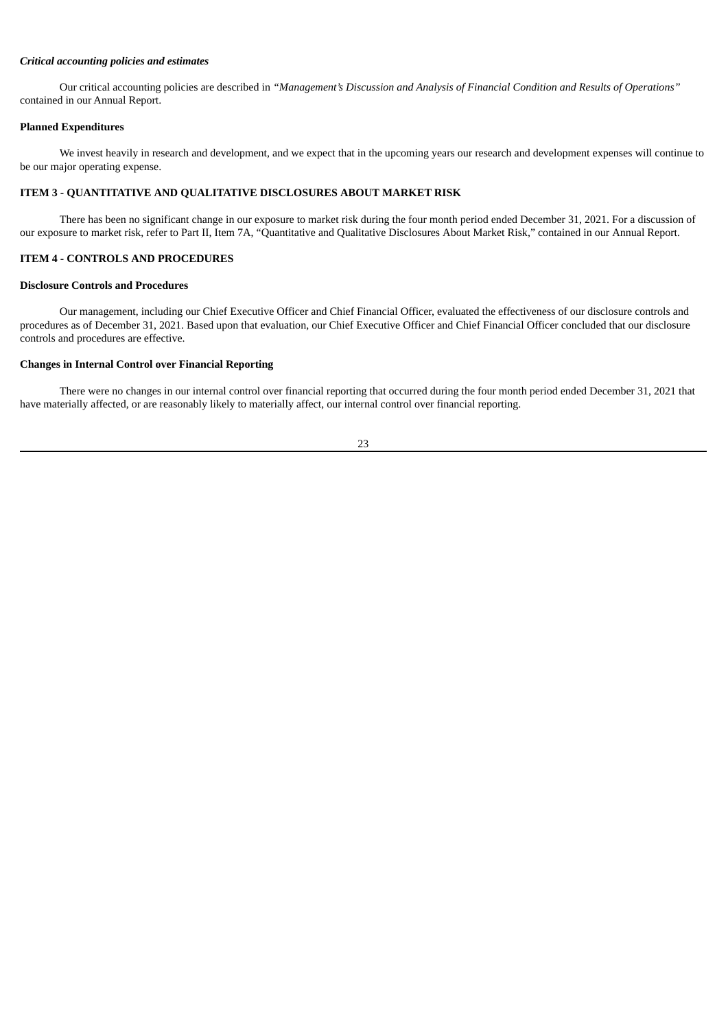### *Critical accounting policies and estimates*

Our critical accounting policies are described in *"Management's Discussion and Analysis of Financial Condition and Results of Operations"* contained in our Annual Report.

# **Planned Expenditures**

We invest heavily in research and development, and we expect that in the upcoming years our research and development expenses will continue to be our major operating expense.

# <span id="page-25-0"></span>**ITEM 3 - QUANTITATIVE AND QUALITATIVE DISCLOSURES ABOUT MARKET RISK**

There has been no significant change in our exposure to market risk during the four month period ended December 31, 2021. For a discussion of our exposure to market risk, refer to Part II, Item 7A, "Quantitative and Qualitative Disclosures About Market Risk," contained in our Annual Report.

#### <span id="page-25-1"></span>**ITEM 4 - CONTROLS AND PROCEDURES**

#### **Disclosure Controls and Procedures**

Our management, including our Chief Executive Officer and Chief Financial Officer, evaluated the effectiveness of our disclosure controls and procedures as of December 31, 2021. Based upon that evaluation, our Chief Executive Officer and Chief Financial Officer concluded that our disclosure controls and procedures are effective.

### **Changes in Internal Control over Financial Reporting**

There were no changes in our internal control over financial reporting that occurred during the four month period ended December 31, 2021 that have materially affected, or are reasonably likely to materially affect, our internal control over financial reporting.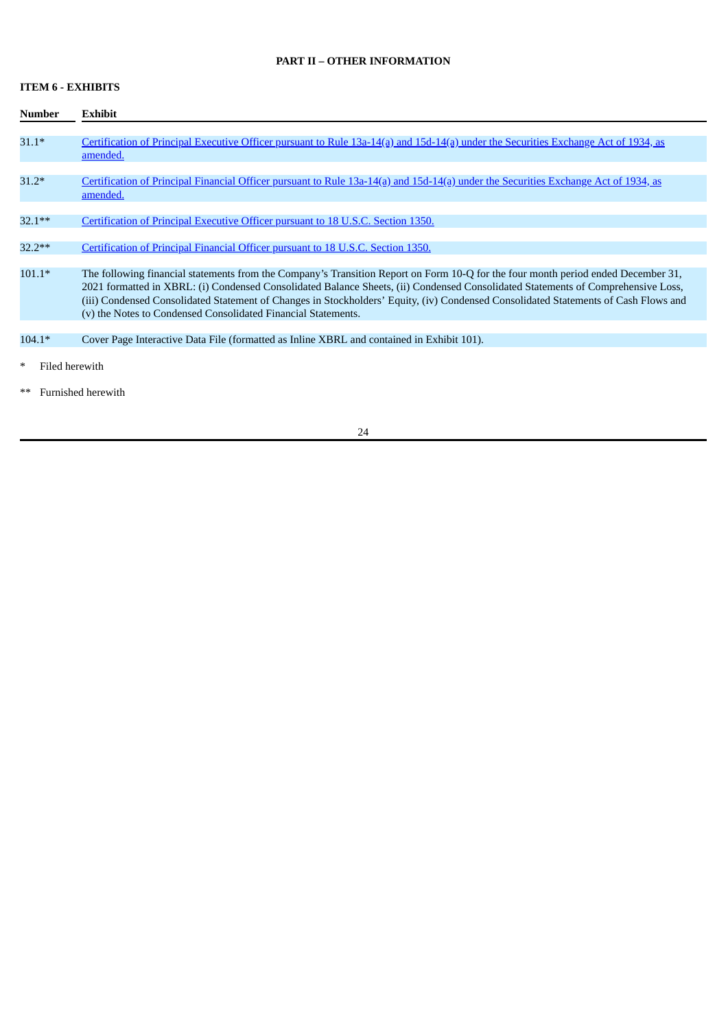# **PART II – OTHER INFORMATION**

# <span id="page-26-1"></span><span id="page-26-0"></span>**ITEM 6 - EXHIBITS**

| Number              | Exhibit                                                                                                                                                                                                                                                                                                                                                                                                                                                                       |
|---------------------|-------------------------------------------------------------------------------------------------------------------------------------------------------------------------------------------------------------------------------------------------------------------------------------------------------------------------------------------------------------------------------------------------------------------------------------------------------------------------------|
|                     |                                                                                                                                                                                                                                                                                                                                                                                                                                                                               |
| $31.1*$             | Certification of Principal Executive Officer pursuant to Rule 13a-14(a) and 15d-14(a) under the Securities Exchange Act of 1934, as<br>amended.                                                                                                                                                                                                                                                                                                                               |
|                     |                                                                                                                                                                                                                                                                                                                                                                                                                                                                               |
| $31.2*$             | Certification of Principal Financial Officer pursuant to Rule 13a-14(a) and 15d-14(a) under the Securities Exchange Act of 1934, as<br>amended.                                                                                                                                                                                                                                                                                                                               |
|                     |                                                                                                                                                                                                                                                                                                                                                                                                                                                                               |
| $32.1***$           | Certification of Principal Executive Officer pursuant to 18 U.S.C. Section 1350.                                                                                                                                                                                                                                                                                                                                                                                              |
|                     |                                                                                                                                                                                                                                                                                                                                                                                                                                                                               |
| $32.2**$            | Certification of Principal Financial Officer pursuant to 18 U.S.C. Section 1350.                                                                                                                                                                                                                                                                                                                                                                                              |
|                     |                                                                                                                                                                                                                                                                                                                                                                                                                                                                               |
| $101.1*$            | The following financial statements from the Company's Transition Report on Form 10-Q for the four month period ended December 31,<br>2021 formatted in XBRL: (i) Condensed Consolidated Balance Sheets, (ii) Condensed Consolidated Statements of Comprehensive Loss,<br>(iii) Condensed Consolidated Statement of Changes in Stockholders' Equity, (iv) Condensed Consolidated Statements of Cash Flows and<br>(v) the Notes to Condensed Consolidated Financial Statements. |
|                     |                                                                                                                                                                                                                                                                                                                                                                                                                                                                               |
| $104.1*$            | Cover Page Interactive Data File (formatted as Inline XBRL and contained in Exhibit 101).                                                                                                                                                                                                                                                                                                                                                                                     |
| ∗<br>Filed herewith |                                                                                                                                                                                                                                                                                                                                                                                                                                                                               |
| $***$               | Furnished herewith                                                                                                                                                                                                                                                                                                                                                                                                                                                            |

24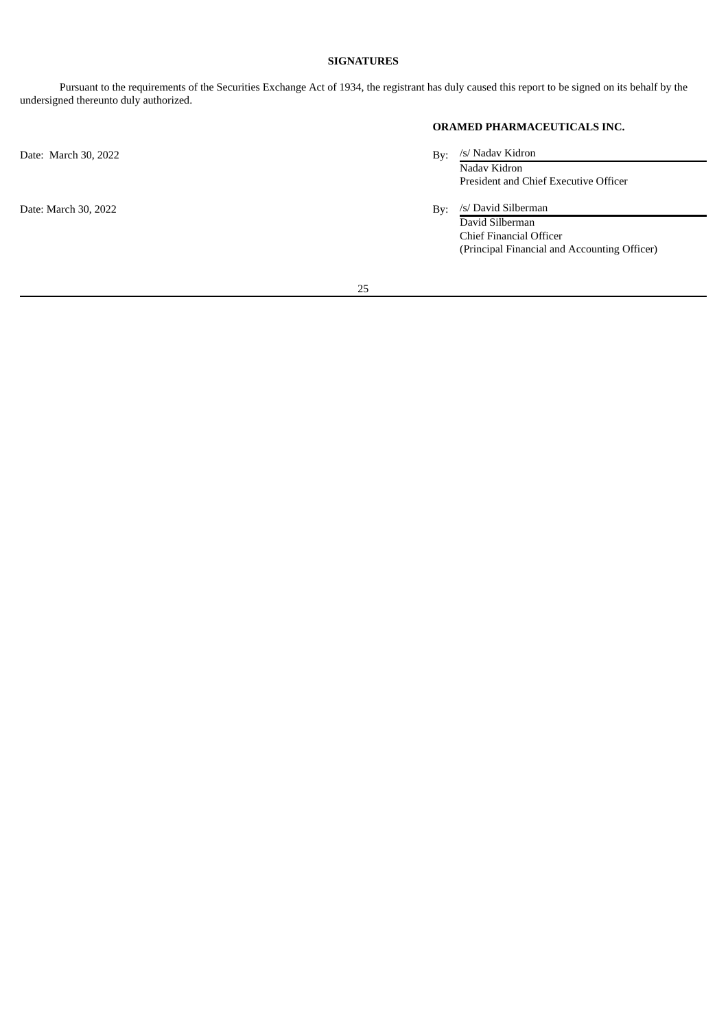# **SIGNATURES**

Pursuant to the requirements of the Securities Exchange Act of 1934, the registrant has duly caused this report to be signed on its behalf by the undersigned thereunto duly authorized.

# **ORAMED PHARMACEUTICALS INC.**

| Date: March 30, 2022 | Bv: | /s/ Nadav Kidron                             |
|----------------------|-----|----------------------------------------------|
|                      |     | Nadav Kidron                                 |
|                      |     | President and Chief Executive Officer        |
| Date: March 30, 2022 | Bv: | /s/ David Silberman                          |
|                      |     | David Silberman                              |
|                      |     | Chief Financial Officer                      |
|                      |     | (Principal Financial and Accounting Officer) |
|                      |     |                                              |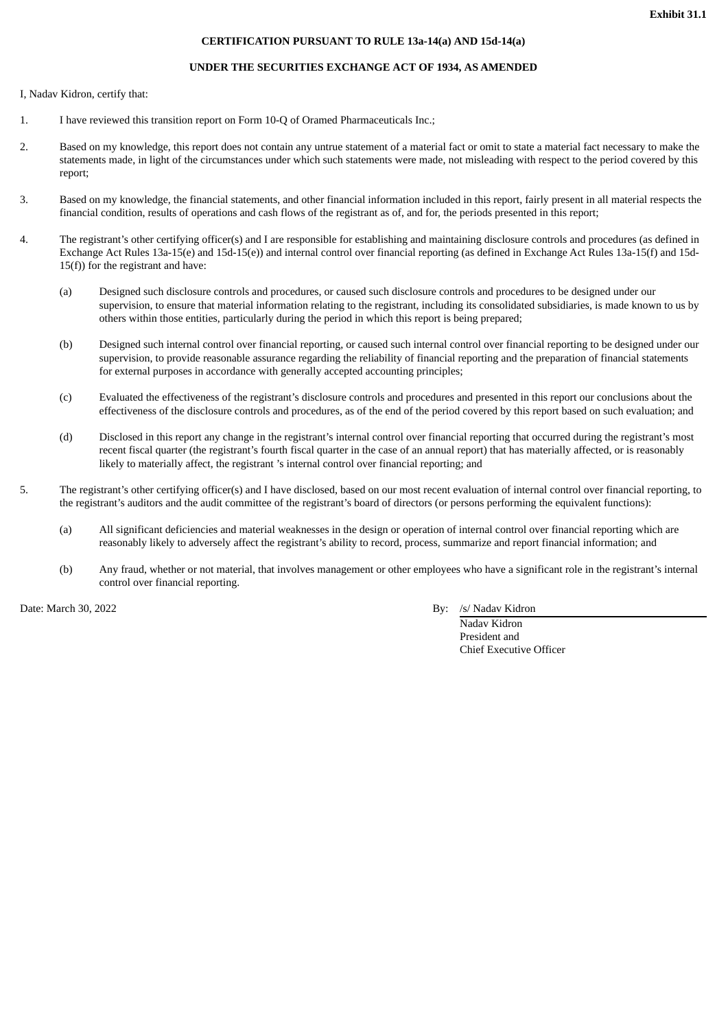### **CERTIFICATION PURSUANT TO RULE 13a-14(a) AND 15d-14(a)**

# **UNDER THE SECURITIES EXCHANGE ACT OF 1934, AS AMENDED**

<span id="page-28-0"></span>I, Nadav Kidron, certify that:

- 1. I have reviewed this transition report on Form 10-Q of Oramed Pharmaceuticals Inc.;
- 2. Based on my knowledge, this report does not contain any untrue statement of a material fact or omit to state a material fact necessary to make the statements made, in light of the circumstances under which such statements were made, not misleading with respect to the period covered by this report;
- 3. Based on my knowledge, the financial statements, and other financial information included in this report, fairly present in all material respects the financial condition, results of operations and cash flows of the registrant as of, and for, the periods presented in this report;
- 4. The registrant's other certifying officer(s) and I are responsible for establishing and maintaining disclosure controls and procedures (as defined in Exchange Act Rules 13a-15(e) and 15d-15(e)) and internal control over financial reporting (as defined in Exchange Act Rules 13a-15(f) and 15d-15(f)) for the registrant and have:
	- (a) Designed such disclosure controls and procedures, or caused such disclosure controls and procedures to be designed under our supervision, to ensure that material information relating to the registrant, including its consolidated subsidiaries, is made known to us by others within those entities, particularly during the period in which this report is being prepared;
	- (b) Designed such internal control over financial reporting, or caused such internal control over financial reporting to be designed under our supervision, to provide reasonable assurance regarding the reliability of financial reporting and the preparation of financial statements for external purposes in accordance with generally accepted accounting principles;
	- (c) Evaluated the effectiveness of the registrant's disclosure controls and procedures and presented in this report our conclusions about the effectiveness of the disclosure controls and procedures, as of the end of the period covered by this report based on such evaluation; and
	- (d) Disclosed in this report any change in the registrant's internal control over financial reporting that occurred during the registrant's most recent fiscal quarter (the registrant's fourth fiscal quarter in the case of an annual report) that has materially affected, or is reasonably likely to materially affect, the registrant 's internal control over financial reporting; and
- 5. The registrant's other certifying officer(s) and I have disclosed, based on our most recent evaluation of internal control over financial reporting, to the registrant's auditors and the audit committee of the registrant's board of directors (or persons performing the equivalent functions):
	- (a) All significant deficiencies and material weaknesses in the design or operation of internal control over financial reporting which are reasonably likely to adversely affect the registrant's ability to record, process, summarize and report financial information; and
	- (b) Any fraud, whether or not material, that involves management or other employees who have a significant role in the registrant's internal control over financial reporting.

Date: March 30, 2022 By: /s/ Nadav Kidron

Nadav Kidron President and Chief Executive Officer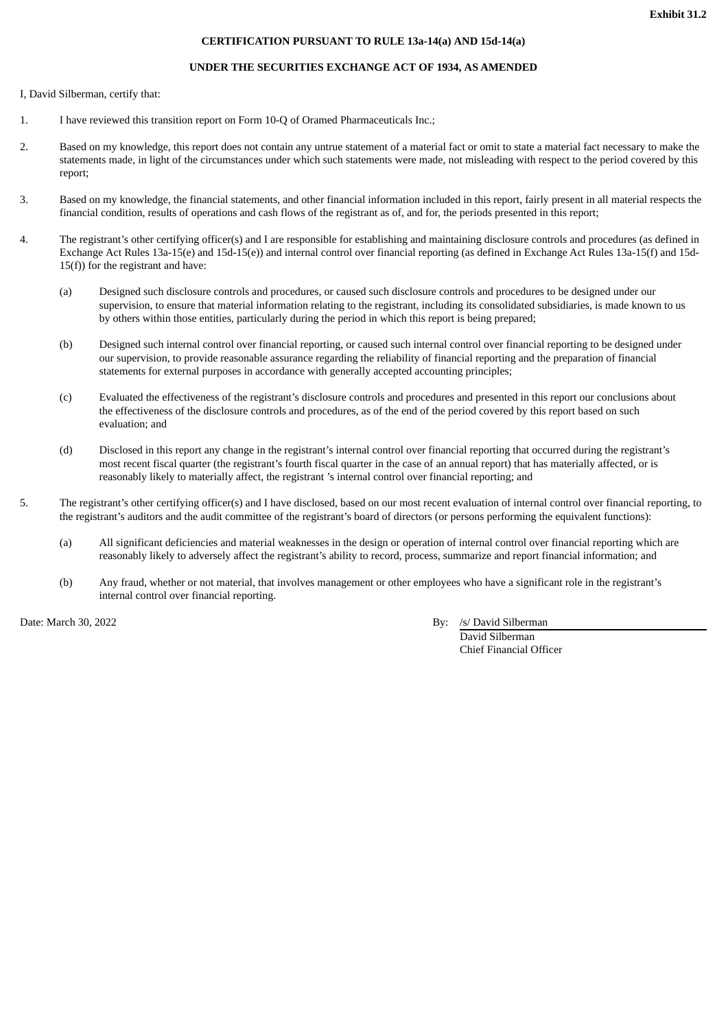## **CERTIFICATION PURSUANT TO RULE 13a-14(a) AND 15d-14(a)**

# **UNDER THE SECURITIES EXCHANGE ACT OF 1934, AS AMENDED**

<span id="page-29-0"></span>I, David Silberman, certify that:

- 1. I have reviewed this transition report on Form 10-Q of Oramed Pharmaceuticals Inc.;
- 2. Based on my knowledge, this report does not contain any untrue statement of a material fact or omit to state a material fact necessary to make the statements made, in light of the circumstances under which such statements were made, not misleading with respect to the period covered by this report;
- 3. Based on my knowledge, the financial statements, and other financial information included in this report, fairly present in all material respects the financial condition, results of operations and cash flows of the registrant as of, and for, the periods presented in this report;
- 4. The registrant's other certifying officer(s) and I are responsible for establishing and maintaining disclosure controls and procedures (as defined in Exchange Act Rules 13a-15(e) and 15d-15(e)) and internal control over financial reporting (as defined in Exchange Act Rules 13a-15(f) and 15d-15(f)) for the registrant and have:
	- (a) Designed such disclosure controls and procedures, or caused such disclosure controls and procedures to be designed under our supervision, to ensure that material information relating to the registrant, including its consolidated subsidiaries, is made known to us by others within those entities, particularly during the period in which this report is being prepared;
	- (b) Designed such internal control over financial reporting, or caused such internal control over financial reporting to be designed under our supervision, to provide reasonable assurance regarding the reliability of financial reporting and the preparation of financial statements for external purposes in accordance with generally accepted accounting principles;
	- (c) Evaluated the effectiveness of the registrant's disclosure controls and procedures and presented in this report our conclusions about the effectiveness of the disclosure controls and procedures, as of the end of the period covered by this report based on such evaluation; and
	- (d) Disclosed in this report any change in the registrant's internal control over financial reporting that occurred during the registrant's most recent fiscal quarter (the registrant's fourth fiscal quarter in the case of an annual report) that has materially affected, or is reasonably likely to materially affect, the registrant 's internal control over financial reporting; and
- 5. The registrant's other certifying officer(s) and I have disclosed, based on our most recent evaluation of internal control over financial reporting, to the registrant's auditors and the audit committee of the registrant's board of directors (or persons performing the equivalent functions):
	- (a) All significant deficiencies and material weaknesses in the design or operation of internal control over financial reporting which are reasonably likely to adversely affect the registrant's ability to record, process, summarize and report financial information; and
	- (b) Any fraud, whether or not material, that involves management or other employees who have a significant role in the registrant's internal control over financial reporting.

Date: March 30, 2022 By: /s/ David Silberman

David Silberman Chief Financial Officer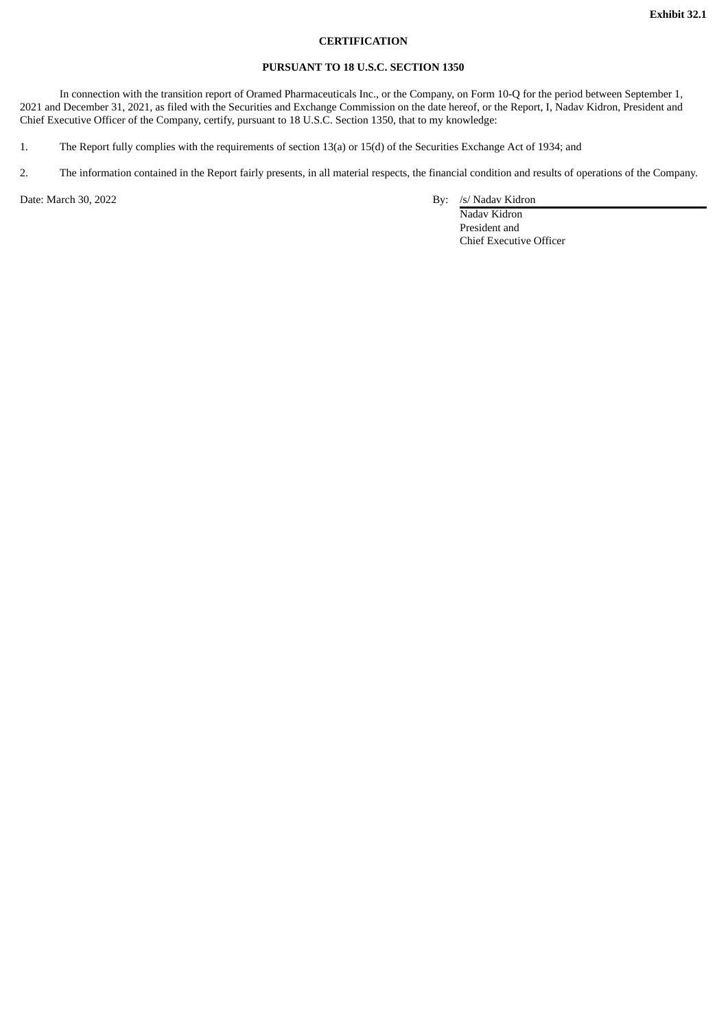# **CERTIFICATION**

# **PURSUANT TO 18 U.S.C. SECTION 1350**

<span id="page-30-0"></span>In connection with the transition report of Oramed Pharmaceuticals Inc., or the Company, on Form 10-Q for the period between September 1, 2021 and December 31, 2021, as filed with the Securities and Exchange Commission on the date hereof, or the Report, I, Nadav Kidron, President and Chief Executive Officer of the Company, certify, pursuant to 18 U.S.C. Section 1350, that to my knowledge:

1. The Report fully complies with the requirements of section 13(a) or 15(d) of the Securities Exchange Act of 1934; and

2. The information contained in the Report fairly presents, in all material respects, the financial condition and results of operations of the Company.

Date: March 30, 2022 By: /s/ Nadav Kidron

Nadav Kidron President and Chief Executive Officer